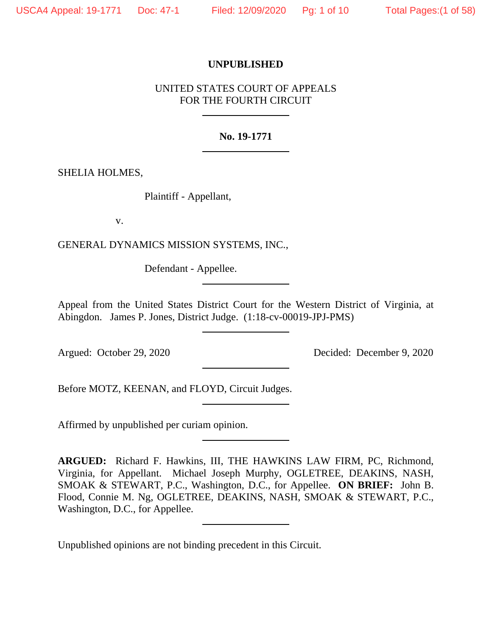#### **UNPUBLISHED**

#### UNITED STATES COURT OF APPEALS FOR THE FOURTH CIRCUIT

#### **No. 19-1771**

#### SHELIA HOLMES,

Plaintiff - Appellant,

v.

GENERAL DYNAMICS MISSION SYSTEMS, INC.,

Defendant - Appellee.

Appeal from the United States District Court for the Western District of Virginia, at Abingdon. James P. Jones, District Judge. (1:18-cv-00019-JPJ-PMS)

Argued: October 29, 2020 Decided: December 9, 2020

Before MOTZ, KEENAN, and FLOYD, Circuit Judges.

Affirmed by unpublished per curiam opinion.

**ARGUED:** Richard F. Hawkins, III, THE HAWKINS LAW FIRM, PC, Richmond, Virginia, for Appellant. Michael Joseph Murphy, OGLETREE, DEAKINS, NASH, SMOAK & STEWART, P.C., Washington, D.C., for Appellee. **ON BRIEF:** John B. Flood, Connie M. Ng, OGLETREE, DEAKINS, NASH, SMOAK & STEWART, P.C., Washington, D.C., for Appellee.

Unpublished opinions are not binding precedent in this Circuit.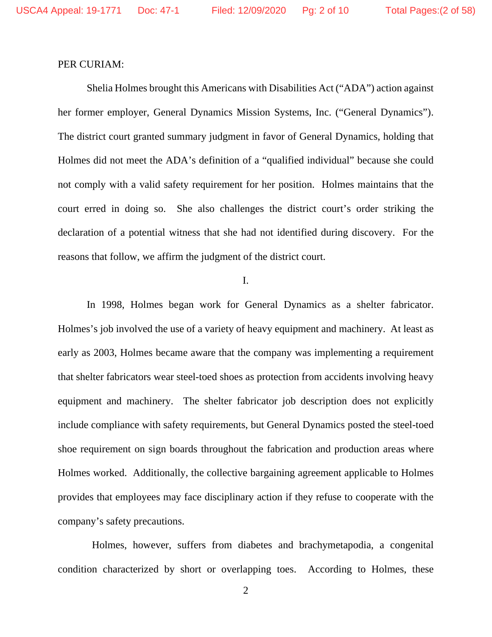#### PER CURIAM:

Shelia Holmes brought this Americans with Disabilities Act ("ADA") action against her former employer, General Dynamics Mission Systems, Inc. ("General Dynamics"). The district court granted summary judgment in favor of General Dynamics, holding that Holmes did not meet the ADA's definition of a "qualified individual" because she could not comply with a valid safety requirement for her position. Holmes maintains that the court erred in doing so. She also challenges the district court's order striking the declaration of a potential witness that she had not identified during discovery. For the reasons that follow, we affirm the judgment of the district court.

I.

In 1998, Holmes began work for General Dynamics as a shelter fabricator. Holmes's job involved the use of a variety of heavy equipment and machinery. At least as early as 2003, Holmes became aware that the company was implementing a requirement that shelter fabricators wear steel-toed shoes as protection from accidents involving heavy equipment and machinery. The shelter fabricator job description does not explicitly include compliance with safety requirements, but General Dynamics posted the steel-toed shoe requirement on sign boards throughout the fabrication and production areas where Holmes worked. Additionally, the collective bargaining agreement applicable to Holmes provides that employees may face disciplinary action if they refuse to cooperate with the company's safety precautions.

 Holmes, however, suffers from diabetes and brachymetapodia, a congenital condition characterized by short or overlapping toes. According to Holmes, these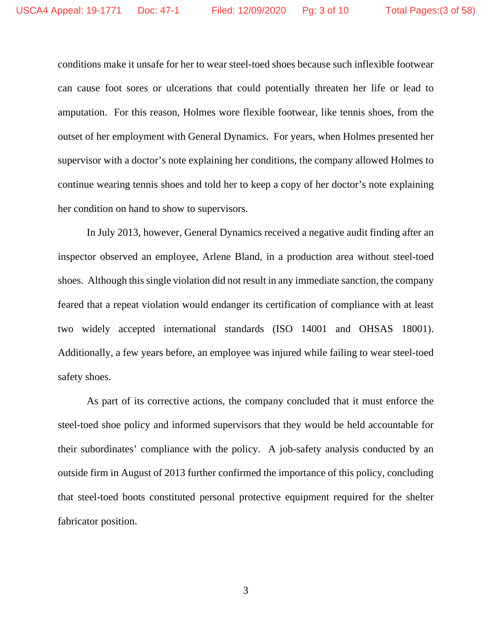conditions make it unsafe for her to wear steel-toed shoes because such inflexible footwear can cause foot sores or ulcerations that could potentially threaten her life or lead to amputation. For this reason, Holmes wore flexible footwear, like tennis shoes, from the outset of her employment with General Dynamics. For years, when Holmes presented her supervisor with a doctor's note explaining her conditions, the company allowed Holmes to continue wearing tennis shoes and told her to keep a copy of her doctor's note explaining her condition on hand to show to supervisors.

In July 2013, however, General Dynamics received a negative audit finding after an inspector observed an employee, Arlene Bland, in a production area without steel-toed shoes. Although this single violation did not result in any immediate sanction, the company feared that a repeat violation would endanger its certification of compliance with at least two widely accepted international standards (ISO 14001 and OHSAS 18001). Additionally, a few years before, an employee was injured while failing to wear steel-toed safety shoes.

As part of its corrective actions, the company concluded that it must enforce the steel-toed shoe policy and informed supervisors that they would be held accountable for their subordinates' compliance with the policy. A job-safety analysis conducted by an outside firm in August of 2013 further confirmed the importance of this policy, concluding that steel-toed boots constituted personal protective equipment required for the shelter fabricator position.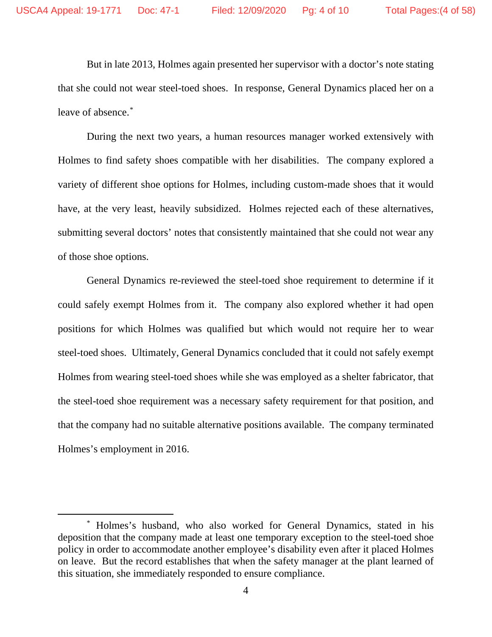But in late 2013, Holmes again presented her supervisor with a doctor's note stating that she could not wear steel-toed shoes. In response, General Dynamics placed her on a leave of absence.[\\*](#page-3-0)

During the next two years, a human resources manager worked extensively with Holmes to find safety shoes compatible with her disabilities. The company explored a variety of different shoe options for Holmes, including custom-made shoes that it would have, at the very least, heavily subsidized. Holmes rejected each of these alternatives, submitting several doctors' notes that consistently maintained that she could not wear any of those shoe options.

General Dynamics re-reviewed the steel-toed shoe requirement to determine if it could safely exempt Holmes from it. The company also explored whether it had open positions for which Holmes was qualified but which would not require her to wear steel-toed shoes. Ultimately, General Dynamics concluded that it could not safely exempt Holmes from wearing steel-toed shoes while she was employed as a shelter fabricator, that the steel-toed shoe requirement was a necessary safety requirement for that position, and that the company had no suitable alternative positions available. The company terminated Holmes's employment in 2016.

<span id="page-3-0"></span><sup>\*</sup> Holmes's husband, who also worked for General Dynamics, stated in his deposition that the company made at least one temporary exception to the steel-toed shoe policy in order to accommodate another employee's disability even after it placed Holmes on leave. But the record establishes that when the safety manager at the plant learned of this situation, she immediately responded to ensure compliance.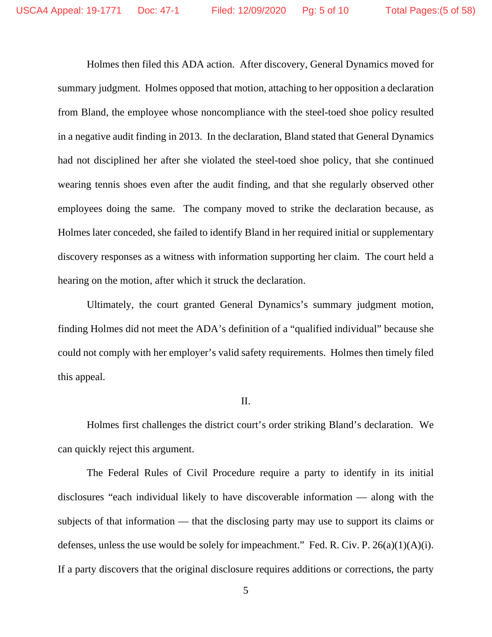Holmes then filed this ADA action. After discovery, General Dynamics moved for summary judgment. Holmes opposed that motion, attaching to her opposition a declaration from Bland, the employee whose noncompliance with the steel-toed shoe policy resulted in a negative audit finding in 2013. In the declaration, Bland stated that General Dynamics had not disciplined her after she violated the steel-toed shoe policy, that she continued wearing tennis shoes even after the audit finding, and that she regularly observed other employees doing the same. The company moved to strike the declaration because, as Holmes later conceded, she failed to identify Bland in her required initial or supplementary discovery responses as a witness with information supporting her claim. The court held a hearing on the motion, after which it struck the declaration.

Ultimately, the court granted General Dynamics's summary judgment motion, finding Holmes did not meet the ADA's definition of a "qualified individual" because she could not comply with her employer's valid safety requirements. Holmes then timely filed this appeal.

#### II.

Holmes first challenges the district court's order striking Bland's declaration. We can quickly reject this argument.

The Federal Rules of Civil Procedure require a party to identify in its initial disclosures "each individual likely to have discoverable information — along with the subjects of that information — that the disclosing party may use to support its claims or defenses, unless the use would be solely for impeachment." Fed. R. Civ. P.  $26(a)(1)(A)(i)$ . If a party discovers that the original disclosure requires additions or corrections, the party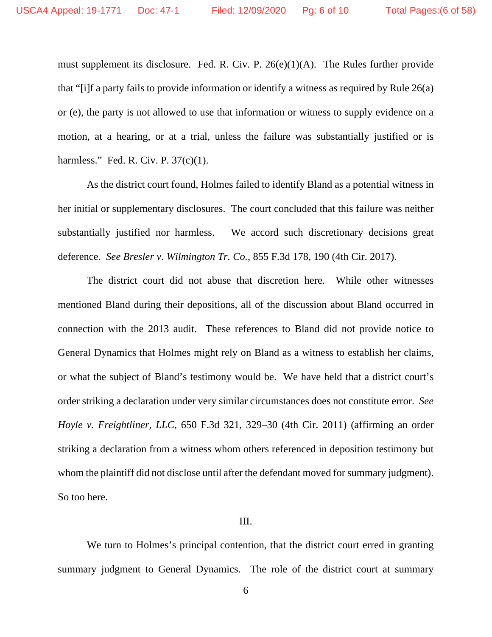must supplement its disclosure. Fed. R. Civ. P. 26(e)(1)(A). The Rules further provide that "[i]f a party fails to provide information or identify a witness as required by Rule 26(a) or (e), the party is not allowed to use that information or witness to supply evidence on a motion, at a hearing, or at a trial, unless the failure was substantially justified or is harmless." Fed. R. Civ. P.  $37(c)(1)$ .

As the district court found, Holmes failed to identify Bland as a potential witness in her initial or supplementary disclosures. The court concluded that this failure was neither substantially justified nor harmless. We accord such discretionary decisions great deference. *See Bresler v. Wilmington Tr. Co.*, 855 F.3d 178, 190 (4th Cir. 2017).

The district court did not abuse that discretion here. While other witnesses mentioned Bland during their depositions, all of the discussion about Bland occurred in connection with the 2013 audit. These references to Bland did not provide notice to General Dynamics that Holmes might rely on Bland as a witness to establish her claims, or what the subject of Bland's testimony would be. We have held that a district court's order striking a declaration under very similar circumstances does not constitute error. *See Hoyle v. Freightliner, LLC*, 650 F.3d 321, 329–30 (4th Cir. 2011) (affirming an order striking a declaration from a witness whom others referenced in deposition testimony but whom the plaintiff did not disclose until after the defendant moved for summary judgment). So too here.

#### III.

We turn to Holmes's principal contention, that the district court erred in granting summary judgment to General Dynamics. The role of the district court at summary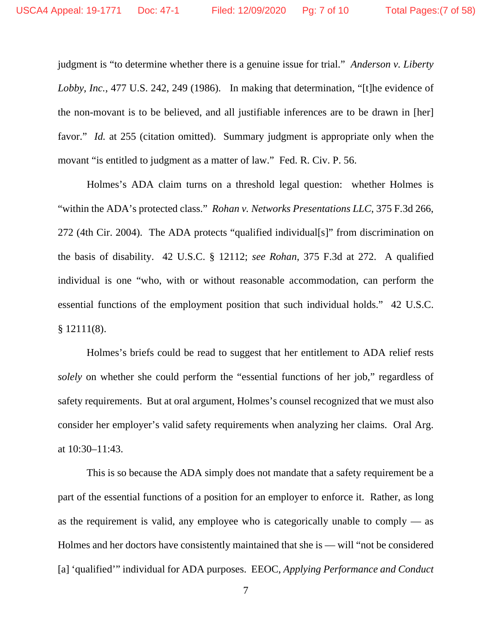judgment is "to determine whether there is a genuine issue for trial." *Anderson v. Liberty Lobby, Inc.*, 477 U.S. 242, 249 (1986). In making that determination, "[t]he evidence of the non-movant is to be believed, and all justifiable inferences are to be drawn in [her] favor." *Id.* at 255 (citation omitted). Summary judgment is appropriate only when the movant "is entitled to judgment as a matter of law." Fed. R. Civ. P. 56.

Holmes's ADA claim turns on a threshold legal question: whether Holmes is "within the ADA's protected class." *Rohan v. Networks Presentations LLC*, 375 F.3d 266, 272 (4th Cir. 2004). The ADA protects "qualified individual[s]" from discrimination on the basis of disability. 42 U.S.C. § 12112; *see Rohan*, 375 F.3d at 272. A qualified individual is one "who, with or without reasonable accommodation, can perform the essential functions of the employment position that such individual holds." 42 U.S.C.  $§ 12111(8).$ 

Holmes's briefs could be read to suggest that her entitlement to ADA relief rests *solely* on whether she could perform the "essential functions of her job," regardless of safety requirements. But at oral argument, Holmes's counsel recognized that we must also consider her employer's valid safety requirements when analyzing her claims. Oral Arg. at 10:30–11:43.

This is so because the ADA simply does not mandate that a safety requirement be a part of the essential functions of a position for an employer to enforce it. Rather, as long as the requirement is valid, any employee who is categorically unable to comply  $-$  as Holmes and her doctors have consistently maintained that she is — will "not be considered [a] 'qualified'" individual for ADA purposes. EEOC, *Applying Performance and Conduct*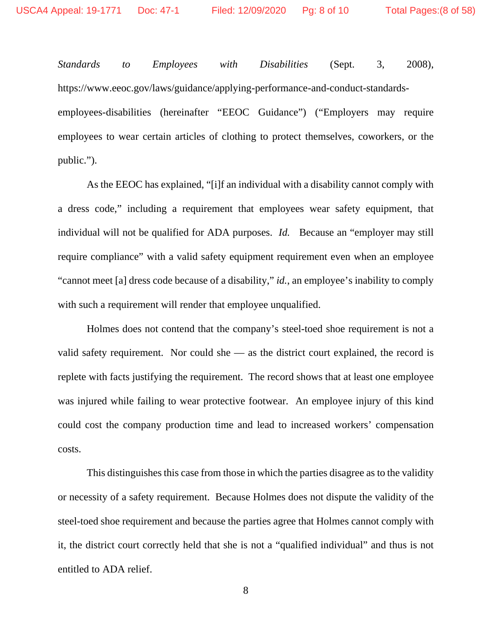*Standards to Employees with Disabilities* (Sept. 3, 2008), https://www.eeoc.gov/laws/guidance/applying-performance-and-conduct-standardsemployees-disabilities (hereinafter "EEOC Guidance") ("Employers may require employees to wear certain articles of clothing to protect themselves, coworkers, or the public.").

As the EEOC has explained, "[i]f an individual with a disability cannot comply with a dress code," including a requirement that employees wear safety equipment, that individual will not be qualified for ADA purposes. *Id.* Because an "employer may still require compliance" with a valid safety equipment requirement even when an employee "cannot meet [a] dress code because of a disability," *id.*, an employee's inability to comply with such a requirement will render that employee unqualified.

Holmes does not contend that the company's steel-toed shoe requirement is not a valid safety requirement. Nor could she — as the district court explained, the record is replete with facts justifying the requirement. The record shows that at least one employee was injured while failing to wear protective footwear. An employee injury of this kind could cost the company production time and lead to increased workers' compensation costs.

This distinguishes this case from those in which the parties disagree as to the validity or necessity of a safety requirement. Because Holmes does not dispute the validity of the steel-toed shoe requirement and because the parties agree that Holmes cannot comply with it, the district court correctly held that she is not a "qualified individual" and thus is not entitled to ADA relief.

8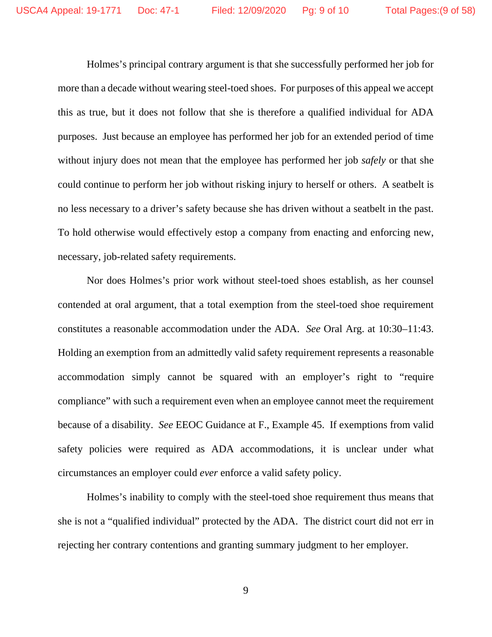Holmes's principal contrary argument is that she successfully performed her job for more than a decade without wearing steel-toed shoes. For purposes of this appeal we accept this as true, but it does not follow that she is therefore a qualified individual for ADA purposes. Just because an employee has performed her job for an extended period of time without injury does not mean that the employee has performed her job *safely* or that she could continue to perform her job without risking injury to herself or others. A seatbelt is no less necessary to a driver's safety because she has driven without a seatbelt in the past. To hold otherwise would effectively estop a company from enacting and enforcing new, necessary, job-related safety requirements.

Nor does Holmes's prior work without steel-toed shoes establish, as her counsel contended at oral argument, that a total exemption from the steel-toed shoe requirement constitutes a reasonable accommodation under the ADA. *See* Oral Arg. at 10:30–11:43. Holding an exemption from an admittedly valid safety requirement represents a reasonable accommodation simply cannot be squared with an employer's right to "require compliance" with such a requirement even when an employee cannot meet the requirement because of a disability. *See* EEOC Guidance at F., Example 45. If exemptions from valid safety policies were required as ADA accommodations, it is unclear under what circumstances an employer could *ever* enforce a valid safety policy.

Holmes's inability to comply with the steel-toed shoe requirement thus means that she is not a "qualified individual" protected by the ADA. The district court did not err in rejecting her contrary contentions and granting summary judgment to her employer.

9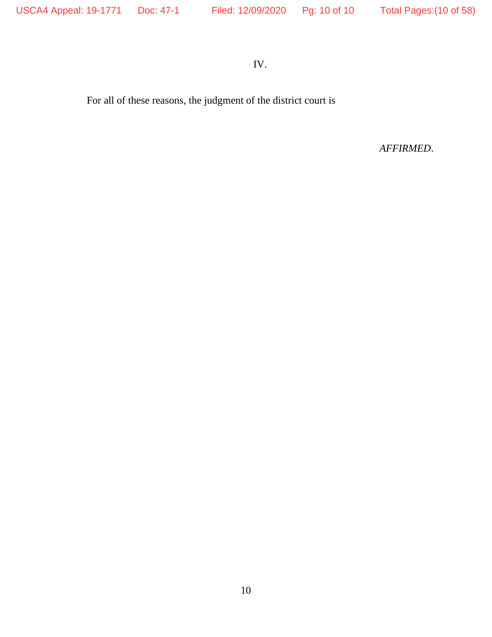IV.

For all of these reasons, the judgment of the district court is

*AFFIRMED*.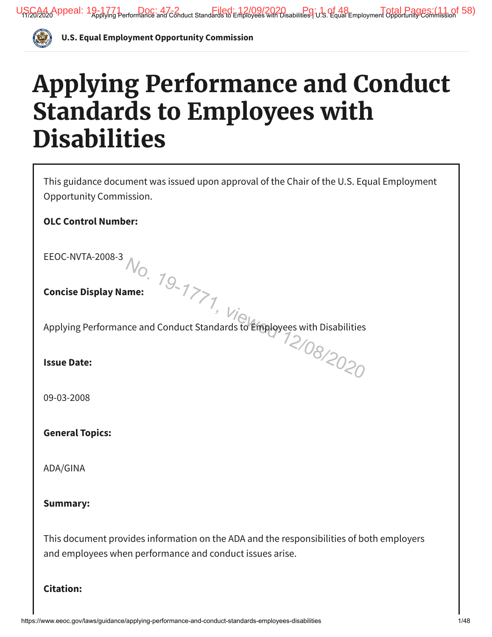

**[U.S. Equal Employment Opportunity Commission](https://www.eeoc.gov/)**

# **Applying Performance and Conduct Standards to Employees with Disabilities**

| This guidance document was issued upon approval of the Chair of the U.S. Equal Employment<br>Opportunity Commission.                                 |
|------------------------------------------------------------------------------------------------------------------------------------------------------|
| <b>OLC Control Number:</b>                                                                                                                           |
| EEOC-NVTA-2008-3                                                                                                                                     |
| Concise Display Name:<br>Applying Performance and Conduct Standards to Employees with Disabilities                                                   |
|                                                                                                                                                      |
| 12/08/2020<br><b>Issue Date:</b>                                                                                                                     |
| 09-03-2008                                                                                                                                           |
| <b>General Topics:</b>                                                                                                                               |
| ADA/GINA                                                                                                                                             |
| <b>Summary:</b>                                                                                                                                      |
| This document provides information on the ADA and the responsibilities of both employers<br>and employees when performance and conduct issues arise. |
| <b>Citation:</b>                                                                                                                                     |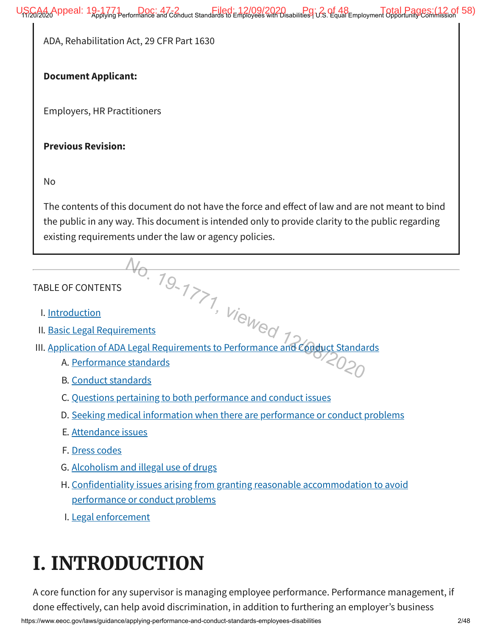USCA4 Appeal: 19-1771 Doc: 47-2 Filed: 12/09/2020 Pg: 2 of 48<br>11/20/2020 Appeal: 19-1771 Doc: 47-2 Filed: 12/09/2020 Pg: 2 of 48 Employment Opportunity Commission

ADA, Rehabilitation Act, 29 CFR Part 1630

## **Document Applicant:**

Employers, HR Practitioners

#### **Previous Revision:**

No

The contents of this document do not have the force and effect of law and are not meant to bind the public in any way. This document is intended only to provide clarity to the public regarding existing requirements under the law or agency policies.

### TABLE OF CONTENTS

- I. Introduction
- II. Basic Legal Requirements
- III. Application of ADA Legal Requirements to Performance and Conduct Standards  $W_0$ . 19-1771,  $V_i$ e $W$ e $V_0$ <br>  $V_0$   $V_0$   $V_0$   $V_0$   $V_0$   $V_0$   $V_0$   $V_0$   $V_0$   $V_0$   $V_0$   $V_0$   $V_0$   $V_0$   $V_0$   $V_0$   $V_0$   $V_0$   $V_0$   $V_0$   $V_0$   $V_0$   $V_0$   $V_0$   $V_0$   $V_0$   $V_0$   $V_0$   $V_0$   $V_0$   $V_0$   $V_$ 
	- A. Performance standards
	- B. Conduct standards
	- C. Questions pertaining to both performance and conduct issues
	- D. Seeking medical information when there are performance or conduct problems
	- E. Attendance issues
	- F. Dress codes
	- G. Alcoholism and illegal use of drugs
	- H. Confidentiality issues arising from granting reasonable accommodation to avoid performance or conduct problems
	- I. Legal enforcement

# **I. INTRODUCTION**

A core function for any supervisor is managing employee performance. Performance management, if done effectively, can help avoid discrimination, in addition to furthering an employer's business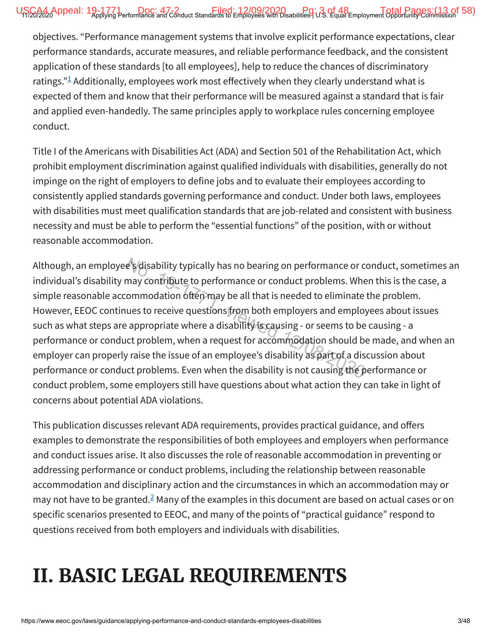# USCA4 Appeal: 19-1771 Doc: 47-2 Filed: 12/09/2020 Pg: 3 of 48<br>11/20/2020 Appeal: 19-1771 Doc: 47-2 Filed: 12/09/2020 Pg: 3 of 48 Employment Opportunity Commission

objectives. "Performance management systems that involve explicit performance expectations, clear performance standards, accurate measures, and reliable performance feedback, and the consistent application of these standards [to all employees], help to reduce the chances of discriminatory ratings." $^{\underline{1}}$  Additionally, employees work most effectively when they clearly understand what is expected of them and know that their performance will be measured against a standard that is fair and applied even-handedly. The same principles apply to workplace rules concerning employee conduct.

Title I of the Americans with Disabilities Act (ADA) and Section 501 of the Rehabilitation Act, which prohibit employment discrimination against qualified individuals with disabilities, generally do not impinge on the right of employers to define jobs and to evaluate their employees according to consistently applied standards governing performance and conduct. Under both laws, employees with disabilities must meet qualification standards that are job-related and consistent with business necessity and must be able to perform the "essential functions" of the position, with or without reasonable accommodation.

Although, an employee's disability typically has no bearing on performance or conduct, sometimes an individual's disability may contribute to performance or conduct problems. When this is the case, a simple reasonable accommodation often may be all that is needed to eliminate the problem. However, EEOC continues to receive questions from both employers and employees about issues such as what steps are appropriate where a disability is causing - or seems to be causing - a performance or conduct problem, when a request for accommodation should be made, and when an employer can properly raise the issue of an employee's disability as part of a discussion about performance or conduct problems. Even when the disability is not causing the performance or conduct problem, some employers still have questions about what action they can take in light of concerns about potential ADA violations. e's disability typically has no bearing on performance or comay contribute to performance or conduct problems. Whe ommodation often may be all that is needed to eliminate ues to receive questions from both employers and em

This publication discusses relevant ADA requirements, provides practical guidance, and offers examples to demonstrate the responsibilities of both employees and employers when performance and conduct issues arise. It also discusses the role of reasonable accommodation in preventing or addressing performance or conduct problems, including the relationship between reasonable accommodation and disciplinary action and the circumstances in which an accommodation may or may not have to be granted. $^{2}$  Many of the examples in this document are based on actual cases or on specific scenarios presented to EEOC, and many of the points of "practical guidance" respond to questions received from both employers and individuals with disabilities.

# **II. BASIC LEGAL REQUIREMENTS**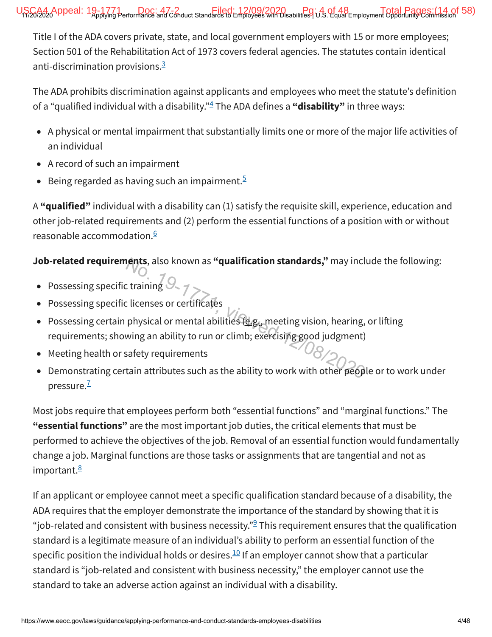Title I of the ADA covers private, state, and local government employers with 15 or more employees; Section 501 of the Rehabilitation Act of 1973 covers federal agencies. The statutes contain identical anti-discrimination provisions.<sup>3</sup>

The ADA prohibits discrimination against applicants and employees who meet the statute's definition of a "qualified individual with a disability."<sup>4</sup> The ADA defines a **"disability"** in three ways:

- A physical or mental impairment that substantially limits one or more of the major life activities of an individual
- A record of such an impairment
- Being regarded as having such an impairment.<sup>5</sup>

A **"qualified"** individual with a disability can (1) satisfy the requisite skill, experience, education and other job-related requirements and (2) perform the essential functions of a position with or without reasonable accommodation. 6

## **Job-related requirements**, also known as **"qualification standards,"** may include the following:

- Possessing specific training  $\mathcal{Q}_{\prec}$   $\rightarrow$
- Possessing specific licenses or certificates
- Possessing certain physical or mental abilities (e.g., meeting vision, hearing, or lifting requirements; showing an ability to run or climb; exercising good judgment) Ments, also known as "qualification standards," may incl<br>
training 9<br>
ticenses or certificates<br>
physical or mental abilities (e.g., meeting vision, hearing,<br>
wing an ability to run or climb; exercising good judgment)<br>
safe
- Meeting health or safety requirements
- Demonstrating certain attributes such as the ability to work with other people or to work under pressure.<sup>7</sup>

Most jobs require that employees perform both "essential functions" and "marginal functions." The **"essential functions"** are the most important job duties, the critical elements that must be performed to achieve the objectives of the job. Removal of an essential function would fundamentally change a job. Marginal functions are those tasks or assignments that are tangential and not as important.<sup>8</sup>

If an applicant or employee cannot meet a specific qualification standard because of a disability, the ADA requires that the employer demonstrate the importance of the standard by showing that it is "job-related and consistent with business necessity." $9$  This requirement ensures that the qualification standard is a legitimate measure of an individual's ability to perform an essential function of the specific position the individual holds or desires. $^{\underline{10}}$  If an employer cannot show that a particular standard is "job-related and consistent with business necessity," the employer cannot use the standard to take an adverse action against an individual with a disability.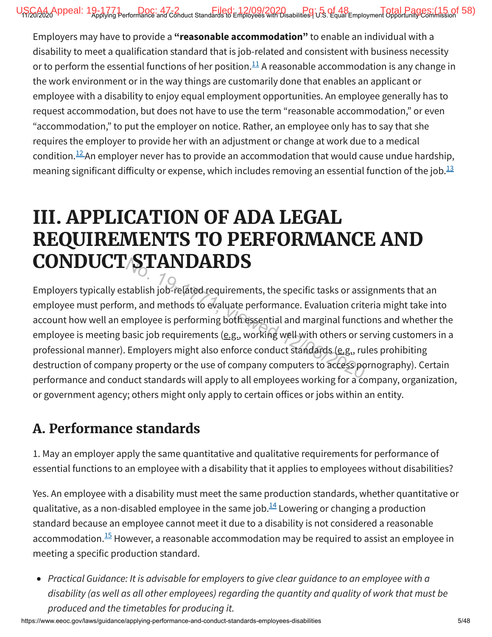# USCA4 Appeal: 19-1771 Doc: 47-2 Filed: 12/09/2020 Pg: 5 of 48<br>11/20/2020 Appeal: 19-1771 Doc: 47-2 Filed: 12/09/2020 Pg: 5 of 48 Employment Opportunity Commission

Employers may have to provide a **"reasonable accommodation"** to enable an individual with a disability to meet a qualification standard that is job-related and consistent with business necessity or to perform the essential functions of her position. $^{11}$  A reasonable accommodation is any change in the work environment or in the way things are customarily done that enables an applicant or employee with a disability to enjoy equal employment opportunities. An employee generally has to request accommodation, but does not have to use the term "reasonable accommodation," or even "accommodation," to put the employer on notice. Rather, an employee only has to say that she requires the employer to provide her with an adjustment or change at work due to a medical condition. $^{12}$ An employer never has to provide an accommodation that would cause undue hardship, meaning significant difficulty or expense, which includes removing an essential function of the job. $^{13}$ 

# **III. APPLICATION OF ADA LEGAL REQUIREMENTS TO PERFORMANCE AND CONDUCT STANDARDS**

Employers typically establish job-related requirements, the specific tasks or assignments that an employee must perform, and methods to evaluate performance. Evaluation criteria might take into account how well an employee is performing both essential and marginal functions and whether the employee is meeting basic job requirements ( $e.g.,$  working well with others or serving customers in a professional manner). Employers might also enforce conduct standards (e.g., rules prohibiting destruction of company property or the use of company computers to access pornography). Certain performance and conduct standards will apply to all employees working for a company, organization, or government agency; others might only apply to certain offices or jobs within an entity.  $\gamma$ <br>tablish job-related requirements, the specific tasks or assim, and methods to evaluate performance. Evaluation crite<br>mployee is performing both essential and marginal functionsic job requirements (e.g., working well

# **A. Performance standards**

1. May an employer apply the same quantitative and qualitative requirements for performance of essential functions to an employee with a disability that it applies to employees without disabilities?

Yes. An employee with a disability must meet the same production standards, whether quantitative or qualitative, as a non-disabled employee in the same job. $^{\underline{14}}$  Lowering or changing a production standard because an employee cannot meet it due to a disability is not considered a reasonable accommodation. $^{15}$  However, a reasonable accommodation may be required to assist an employee in meeting a specific production standard.

• Practical Guidance: It is advisable for employers to give clear guidance to an employee with a disability (as well as all other employees) regarding the quantity and quality of work that must be produced and the timetables for producing it.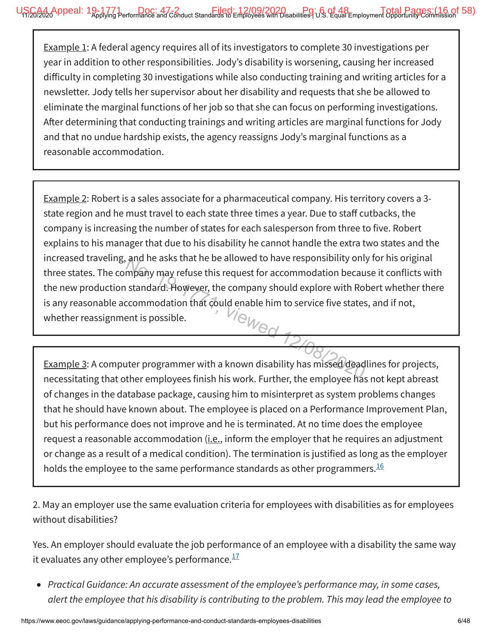Example 1: A federal agency requires all of its investigators to complete 30 investigations per year in addition to other responsibilities. Jody's disability is worsening, causing her increased difficulty in completing 30 investigations while also conducting training and writing articles for a newsletter. Jody tells her supervisor about her disability and requests that she be allowed to eliminate the marginal functions of her job so that she can focus on performing investigations. After determining that conducting trainings and writing articles are marginal functions for Jody and that no undue hardship exists, the agency reassigns Jody's marginal functions as a reasonable accommodation.

Example 2: Robert is a sales associate for a pharmaceutical company. His territory covers a 3 state region and he must travel to each state three times a year. Due to staff cutbacks, the company is increasing the number of states for each salesperson from three to five. Robert explains to his manager that due to his disability he cannot handle the extra two states and the increased traveling, and he asks that he be allowed to have responsibility only for his original three states. The company may refuse this request for accommodation because it conflicts with the new production standard. However, the company should explore with Robert whether there is any reasonable accommodation that could enable him to service five states, and if not, whether reassignment is possible. Viewed 12/0

Example 3: A computer programmer with a known disability has missed deadlines for projects, necessitating that other employees finish his work. Further, the employee has not kept abreast of changes in the database package, causing him to misinterpret as system problems changes that he should have known about. The employee is placed on a Performance Improvement Plan, but his performance does not improve and he is terminated. At no time does the employee request a reasonable accommodation  $(i.e.,$  inform the employer that he requires an adjustment or change as a result of a medical condition). The termination is justified as long as the employer holds the employee to the same performance standards as other programmers. $^{\underline{16}}$ 

2. May an employer use the same evaluation criteria for employees with disabilities as for employees without disabilities?

Yes. An employer should evaluate the job performance of an employee with a disability the same way it evaluates any other employee's performance. $^{17}$ 

• Practical Guidance: An accurate assessment of the employee's performance may, in some cases, alert the employee that his disability is contributing to the problem. This may lead the employee to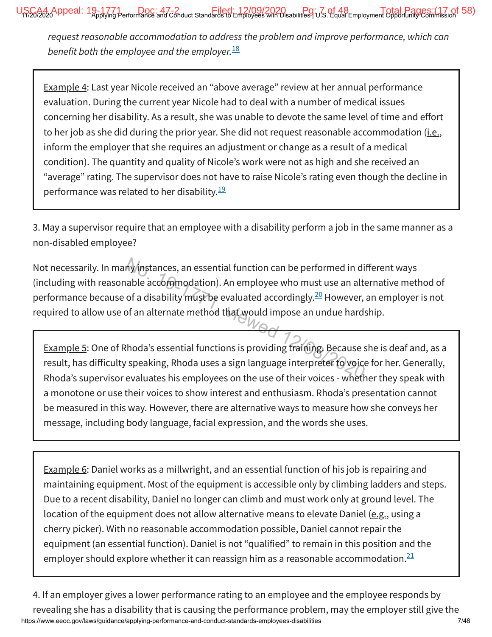request reasonable accommodation to address the problem and improve performance, which can benefit both the employee and the employer. $\frac{18}{3}$ 

Example 4: Last year Nicole received an "above average" review at her annual performance evaluation. During the current year Nicole had to deal with a number of medical issues concerning her disability. As a result, she was unable to devote the same level of time and effort to her job as she did during the prior year. She did not request reasonable accommodation (*i.e.*, inform the employer that she requires an adjustment or change as a result of a medical condition). The quantity and quality of Nicole's work were not as high and she received an "average" rating. The supervisor does not have to raise Nicole's rating even though the decline in performance was related to her disability.<sup>19</sup>

3. May a supervisor require that an employee with a disability perform a job in the same manner as a non-disabled employee?

Not necessarily. In many instances, an essential function can be performed in different ways (including with reasonable accommodation). An employee who must use an alternative method of performance because of a disability must be evaluated accordingly.<sup>20</sup> However, an employer is not required to allow use of an alternate method that would impose an undue hardship. My Instances, an essential function can be performed in di<br>able accommodation). An employee who must use an alte<br>of a disability must be evaluated accordingly.<sup>20</sup> However,<br>of an alternate method that would impose an undue

Example 5: One of Rhoda's essential functions is providing training. Because she is deaf and, as a result, has difficulty speaking, Rhoda uses a sign language interpreter to voice for her. Generally, Rhoda's supervisor evaluates his employees on the use of their voices - whether they speak with a monotone or use their voices to show interest and enthusiasm. Rhoda's presentation cannot be measured in this way. However, there are alternative ways to measure how she conveys her message, including body language, facial expression, and the words she uses.

Example  $6$ : Daniel works as a millwright, and an essential function of his job is repairing and maintaining equipment. Most of the equipment is accessible only by climbing ladders and steps. Due to a recent disability, Daniel no longer can climb and must work only at ground level. The location of the equipment does not allow alternative means to elevate Daniel ( $e.g.,$  using a cherry picker). With no reasonable accommodation possible, Daniel cannot repair the equipment (an essential function). Daniel is not "qualified" to remain in this position and the employer should explore whether it can reassign him as a reasonable accommodation. $^{\underline{21}}$ 

https://www.eeoc.gov/laws/guidance/applying-performance-and-conduct-standards-employees-disabilities 7/48 4. If an employer gives a lower performance rating to an employee and the employee responds by revealing she has a disability that is causing the performance problem, may the employer still give the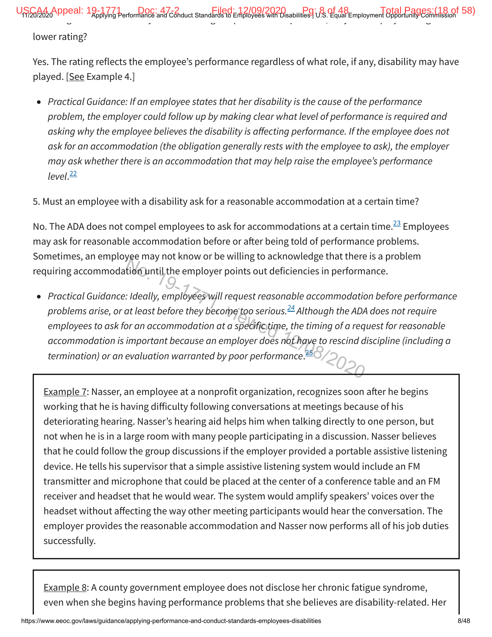USCA4 Appeal: 19-1771 Doc: 47-2 Filed: 12/09/2020 Pg: 8 of 48 Total Pages: (18 of 58)<br>11/20/2020 Applying Performance and Conduct Standards to Employees with Disabilities U.S. Equal Employment Opportunity Commission lower rating?

Yes. The rating reflects the employee's performance regardless of what role, if any, disability may have played. [See Example 4.]

- Practical Guidance: If an employee states that her disability is the cause of the performance problem, the employer could follow up by making clear what level of performance is required and asking why the employee believes the disability is affecting performance. If the employee does not ask for an accommodation (the obligation generally rests with the employee to ask), the employer may ask whether there is an accommodation that may help raise the employee's performance level.<sup>22</sup>
- 5. Must an employee with a disability ask for a reasonable accommodation at a certain time?

No. The ADA does not compel employees to ask for accommodations at a certain time. $^{23}$  Employees may ask for reasonable accommodation before or after being told of performance problems. Sometimes, an employee may not know or be willing to acknowledge that there is a problem requiring accommodation until the employer points out deficiencies in performance.

• Practical Guidance: Ideally, employees will request reasonable accommodation before performance problems arise, or at least before they become too serious. $^{24}$  Although the ADA does not require employees to ask for an accommodation at a specific time, the timing of a request for reasonable accommodation is important because an employer does not have to rescind discipline (including a termination) or an evaluation warranted by poor performance. $^{\underline{25}}$ No. 1992 and the employer points out deficiencies in perform<br>
Stion until the employer points out deficiencies in perform<br>
Stionard least before they become too serious.<sup>24</sup> Although the ADA<br>
Dor an accommodation at a spec

Example 7: Nasser, an employee at a nonprofit organization, recognizes soon after he begins working that he is having difficulty following conversations at meetings because of his deteriorating hearing. Nasser's hearing aid helps him when talking directly to one person, but not when he is in a large room with many people participating in a discussion. Nasser believes that he could follow the group discussions if the employer provided a portable assistive listening device. He tells his supervisor that a simple assistive listening system would include an FM transmitter and microphone that could be placed at the center of a conference table and an FM receiver and headset that he would wear. The system would amplify speakers' voices over the headset without affecting the way other meeting participants would hear the conversation. The employer provides the reasonable accommodation and Nasser now performs all of his job duties successfully.

Example 8: A county government employee does not disclose her chronic fatigue syndrome, even when she begins having performance problems that she believes are disability-related. Her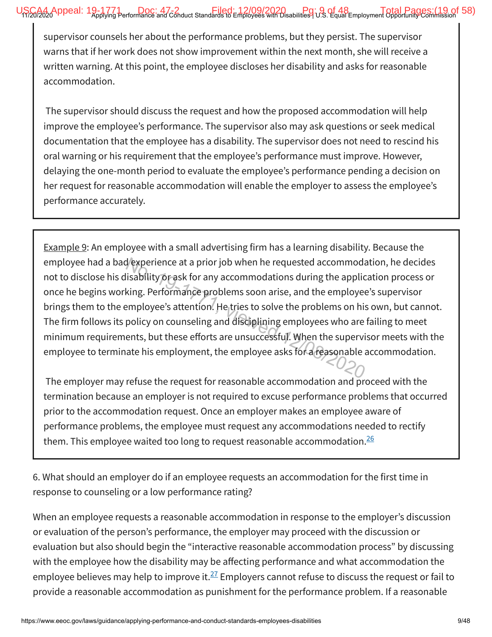supervisor counsels her about the performance problems, but they persist. The supervisor warns that if her work does not show improvement within the next month, she will receive a written warning. At this point, the employee discloses her disability and asks for reasonable accommodation.

 The supervisor should discuss the request and how the proposed accommodation will help improve the employee's performance. The supervisor also may ask questions or seek medical documentation that the employee has a disability. The supervisor does not need to rescind his oral warning or his requirement that the employee's performance must improve. However, delaying the one-month period to evaluate the employee's performance pending a decision on her request for reasonable accommodation will enable the employer to assess the employee's performance accurately.

Example 9: An employee with a small advertising firm has a learning disability. Because the employee had a bad experience at a prior job when he requested accommodation, he decides not to disclose his disability or ask for any accommodations during the application process or once he begins working. Performance problems soon arise, and the employee's supervisor brings them to the employee's attention. He tries to solve the problems on his own, but cannot. The firm follows its policy on counseling and disciplining employees who are failing to meet minimum requirements, but these efforts are unsuccessful. When the supervisor meets with the employee to terminate his employment, the employee asks for a reasonable accommodation. dexperience at a prior job when he requested accommodalisability or ask for any accommodations during the applice king. Performance problems soon arise, and the employee employee's attention. He tries to solve the problems

 The employer may refuse the request for reasonable accommodation and proceed with the termination because an employer is not required to excuse performance problems that occurred prior to the accommodation request. Once an employer makes an employee aware of performance problems, the employee must request any accommodations needed to rectify them. This employee waited too long to request reasonable accommodation. $\frac{26}{5}$ 

6. What should an employer do if an employee requests an accommodation for the first time in response to counseling or a low performance rating?

When an employee requests a reasonable accommodation in response to the employer's discussion or evaluation of the person's performance, the employer may proceed with the discussion or evaluation but also should begin the "interactive reasonable accommodation process" by discussing with the employee how the disability may be affecting performance and what accommodation the employee believes may help to improve it. $^{27}$  Employers cannot refuse to discuss the request or fail to provide a reasonable accommodation as punishment for the performance problem. If a reasonable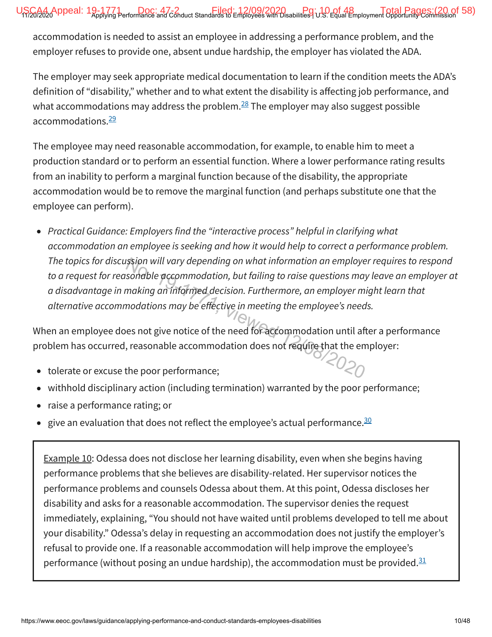# USCA4 Appeal: 19-1771 Doc: 47-2 Filed: 12/09/2020 Pg: 10 of 48 Total Pages: (20 of 58)<br>11/20/2020 Applying Performance and Conduct Standards to Employees with Disabilities U.S. Equal Employment Opportunity Commission

accommodation is needed to assist an employee in addressing a performance problem, and the employer refuses to provide one, absent undue hardship, the employer has violated the ADA.

The employer may seek appropriate medical documentation to learn if the condition meets the ADA's definition of "disability," whether and to what extent the disability is affecting job performance, and what accommodations may address the problem. $^{28}$  The employer may also suggest possible accommodations.<sup>29</sup>

The employee may need reasonable accommodation, for example, to enable him to meet a production standard or to perform an essential function. Where a lower performance rating results from an inability to perform a marginal function because of the disability, the appropriate accommodation would be to remove the marginal function (and perhaps substitute one that the employee can perform).

• Practical Guidance: Employers find the "interactive process" helpful in clarifying what accommodation an employee is seeking and how it would help to correct a performance problem. The topics for discussion will vary depending on what information an employer requires to respond to a request for reasonable accommodation, but failing to raise questions may leave an employer at a disadvantage in making an informed decision. Furthermore, an employer might learn that alternative accommodations may be effective in meeting the employee's needs. ression will vary depending on what information an employe<br>sonable accommodation, but failing to raise questions may<br>making an informed decision. Furthermore, an employer m<br>modations may be effective in meeting the employe

When an employee does not give notice of the need for accommodation until after a performance problem has occurred, reasonable accommodation does not require that the employer:

- tolerate or excuse the poor performance;
- withhold disciplinary action (including termination) warranted by the poor performance;
- raise a performance rating; or
- give an evaluation that does not reflect the employee's actual performance. $\frac{30}{2}$

Example 10: Odessa does not disclose her learning disability, even when she begins having performance problems that she believes are disability-related. Her supervisor notices the performance problems and counsels Odessa about them. At this point, Odessa discloses her disability and asks for a reasonable accommodation. The supervisor denies the request immediately, explaining, "You should not have waited until problems developed to tell me about your disability." Odessa's delay in requesting an accommodation does not justify the employer's refusal to provide one. If a reasonable accommodation will help improve the employee's performance (without posing an undue hardship), the accommodation must be provided. $\frac{31}{2}$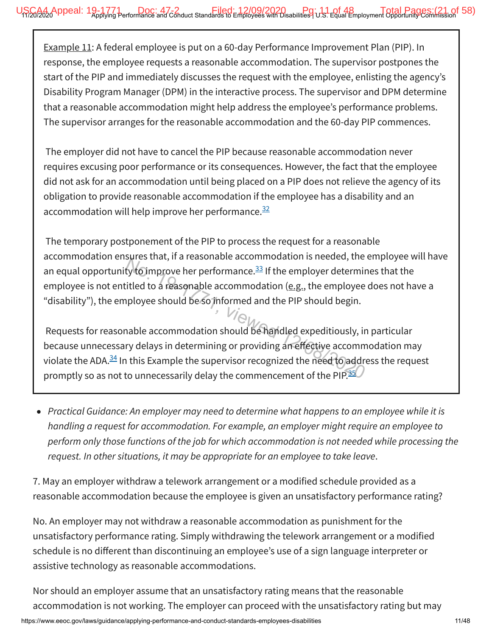Example 11: A federal employee is put on a 60-day Performance Improvement Plan (PIP). In response, the employee requests a reasonable accommodation. The supervisor postpones the start of the PIP and immediately discusses the request with the employee, enlisting the agency's Disability Program Manager (DPM) in the interactive process. The supervisor and DPM determine that a reasonable accommodation might help address the employee's performance problems. The supervisor arranges for the reasonable accommodation and the 60-day PIP commences.

 The employer did not have to cancel the PIP because reasonable accommodation never requires excusing poor performance or its consequences. However, the fact that the employee did not ask for an accommodation until being placed on a PIP does not relieve the agency of its obligation to provide reasonable accommodation if the employee has a disability and an accommodation will help improve her performance.<sup>32</sup>

 The temporary postponement of the PIP to process the request for a reasonable accommodation ensures that, if a reasonable accommodation is needed, the employee will have an equal opportunity to improve her performance. $^{33}$  If the employer determines that the employee is not entitled to a reasonable accommodation  $(e.g.,$  the employee does not have a "disability"), the employee should be so informed and the PIP should begin.

 Requests for reasonable accommodation should be handled expeditiously, in particular because unnecessary delays in determining or providing an effective accommodation may violate the ADA. $\frac{34}{2}$  In this Example the supervisor recognized the need to address the request promptly so as not to unnecessarily delay the commencement of the PIP.35 Extres that, it a reasonable accommodation is needed, the<br>tyto improve her performance.<sup>33</sup> If the employer determinities<br>itled to a reasonable accommodation (e.g., the employee<br>ployee should be so informed and the PIP sh

• Practical Guidance: An employer may need to determine what happens to an employee while it is handling a request for accommodation. For example, an employer might require an employee to perform only those functions of the job for which accommodation is not needed while processing the request. In other situations, it may be appropriate for an employee to take leave.

7. May an employer withdraw a telework arrangement or a modified schedule provided as a reasonable accommodation because the employee is given an unsatisfactory performance rating?

No. An employer may not withdraw a reasonable accommodation as punishment for the unsatisfactory performance rating. Simply withdrawing the telework arrangement or a modified schedule is no different than discontinuing an employee's use of a sign language interpreter or assistive technology as reasonable accommodations.

Nor should an employer assume that an unsatisfactory rating means that the reasonable accommodation is not working. The employer can proceed with the unsatisfactory rating but may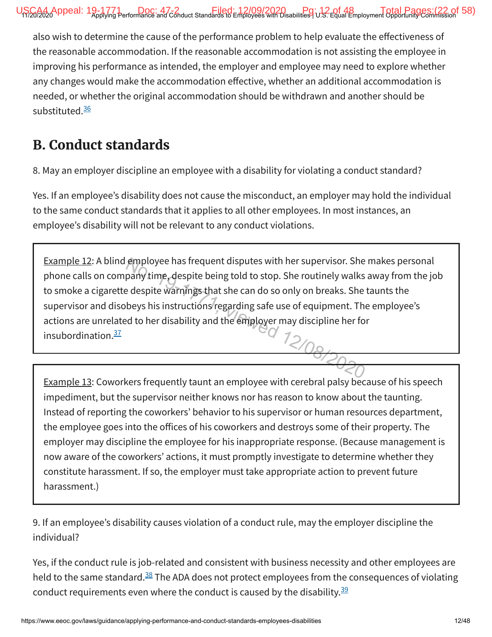also wish to determine the cause of the performance problem to help evaluate the effectiveness of the reasonable accommodation. If the reasonable accommodation is not assisting the employee in improving his performance as intended, the employer and employee may need to explore whether any changes would make the accommodation effective, whether an additional accommodation is needed, or whether the original accommodation should be withdrawn and another should be substituted.<sup>36</sup>

# **B. Conduct standards**

8. May an employer discipline an employee with a disability for violating a conduct standard?

Yes. If an employee's disability does not cause the misconduct, an employer may hold the individual to the same conduct standards that it applies to all other employees. In most instances, an employee's disability will not be relevant to any conduct violations.

Example 12: A blind employee has frequent disputes with her supervisor. She makes personal phone calls on company time, despite being told to stop. She routinely walks away from the job to smoke a cigarette despite warnings that she can do so only on breaks. She taunts the supervisor and disobeys his instructions regarding safe use of equipment. The employee's actions are unrelated to her disability and the employer may discipline her for insubordination.<sup>37</sup>  $12/08/20$ 

Example 13: Coworkers frequently taunt an employee with cerebral palsy because of his speech impediment, but the supervisor neither knows nor has reason to know about the taunting. Instead of reporting the coworkers' behavior to his supervisor or human resources department, the employee goes into the offices of his coworkers and destroys some of their property. The employer may discipline the employee for his inappropriate response. (Because management is now aware of the coworkers' actions, it must promptly investigate to determine whether they constitute harassment. If so, the employer must take appropriate action to prevent future harassment.)

9. If an employee's disability causes violation of a conduct rule, may the employer discipline the individual?

Yes, if the conduct rule is job-related and consistent with business necessity and other employees are held to the same standard. $38$  The ADA does not protect employees from the consequences of violating conduct requirements even where the conduct is caused by the disability. $\frac{39}{2}$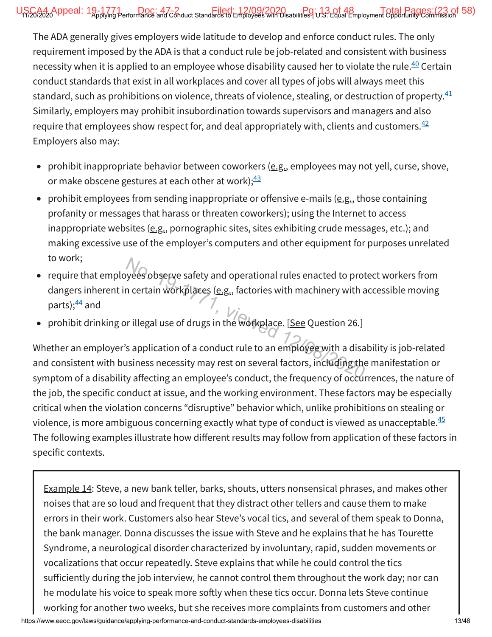# USCA4 Appeal: 19-1771 Doc: 47-2 Filed: 12/09/2020 Pg: 13 of 48 Total Pages: (23 of 58)<br>11/20/2020 Applying Performance and Conduct Standards to Employees with Disabilities U.S. Equal Employment Opportunity Commission

The ADA generally gives employers wide latitude to develop and enforce conduct rules. The only requirement imposed by the ADA is that a conduct rule be job-related and consistent with business necessity when it is applied to an employee whose disability caused her to violate the rule. $^{40}$  Certain conduct standards that exist in all workplaces and cover all types of jobs will always meet this standard, such as prohibitions on violence, threats of violence, stealing, or destruction of property. $\frac{41}{2}$ Similarly, employers may prohibit insubordination towards supervisors and managers and also require that employees show respect for, and deal appropriately with, clients and customers. $\frac{42}{5}$ Employers also may:

- prohibit inappropriate behavior between coworkers  $(\underline{e.g.})$  employees may not yell, curse, shove, or make obscene gestures at each other at work);<sup>43</sup>
- prohibit employees from sending inappropriate or offensive e-mails  $(e.g.,)$  those containing profanity or messages that harass or threaten coworkers); using the Internet to access inappropriate websites  $(e.g.,$  pornographic sites, sites exhibiting crude messages, etc.); and making excessive use of the employer's computers and other equipment for purposes unrelated to work;
- require that employees observe safety and operational rules enacted to protect workers from dangers inherent in certain workplaces ( $e.g.,$  factories with machinery with accessible moving parts);<sup><u>44</u></sup> and Wees observe safety and operational rules enacted to prot<br>
in certain workplaces (e.g., factories with machinery with a<br>
in illegal use of drugs in the workplace. [See Question 26.]<br>
s application of a conduct rule to an e
- prohibit drinking or illegal use of drugs in the workplace. [See Question 26.]

Whether an employer's application of a conduct rule to an employee with a disability is job-related and consistent with business necessity may rest on several factors, including the manifestation or symptom of a disability affecting an employee's conduct, the frequency of occurrences, the nature of the job, the specific conduct at issue, and the working environment. These factors may be especially critical when the violation concerns "disruptive" behavior which, unlike prohibitions on stealing or violence, is more ambiguous concerning exactly what type of conduct is viewed as unacceptable. $^\frac{45}{2}$ The following examples illustrate how different results may follow from application of these factors in specific contexts.

Example 14: Steve, a new bank teller, barks, shouts, utters nonsensical phrases, and makes other noises that are so loud and frequent that they distract other tellers and cause them to make errors in their work. Customers also hear Steve's vocal tics, and several of them speak to Donna, the bank manager. Donna discusses the issue with Steve and he explains that he has Tourette Syndrome, a neurological disorder characterized by involuntary, rapid, sudden movements or vocalizations that occur repeatedly. Steve explains that while he could control the tics sufficiently during the job interview, he cannot control them throughout the work day; nor can he modulate his voice to speak more softly when these tics occur. Donna lets Steve continue working for another two weeks, but she receives more complaints from customers and other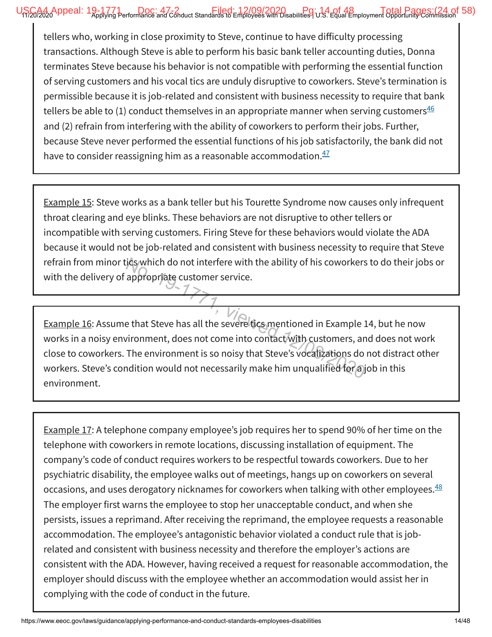# USCA4 Appeal: 19-1771 Doc: 47-2 Filed: 12/09/2020 Pg: 14 of 48 Total Pages: (24 of 58)<br>11/20/2020 Applying Performance and Conduct Standards to Employees with Disabilities U.S. Equal Employment Opportunity Commission

tellers who, working in close proximity to Steve, continue to have difficulty processing transactions. Although Steve is able to perform his basic bank teller accounting duties, Donna terminates Steve because his behavior is not compatible with performing the essential function of serving customers and his vocal tics are unduly disruptive to coworkers. Steve's termination is permissible because it is job-related and consistent with business necessity to require that bank tellers be able to (1) conduct themselves in an appropriate manner when serving customers $^{\underline{46}}$ and (2) refrain from interfering with the ability of coworkers to perform their jobs. Further, because Steve never performed the essential functions of his job satisfactorily, the bank did not have to consider reassigning him as a reasonable accommodation. 47

Example 15: Steve works as a bank teller but his Tourette Syndrome now causes only infrequent throat clearing and eye blinks. These behaviors are not disruptive to other tellers or incompatible with serving customers. Firing Steve for these behaviors would violate the ADA because it would not be job-related and consistent with business necessity to require that Steve refrain from minor tids which do not interfere with the ability of his coworkers to do their jobs or with the delivery of appropriate customer service.

Example 16: Assume that Steve has all the severe tics mentioned in Example 14, but he now works in a noisy environment, does not come into contact with customers, and does not work close to coworkers. The environment is so noisy that Steve's vocalizations do not distract other workers. Steve's condition would not necessarily make him unqualified for a job in this environment. The sum of interfere with the ability of his coworkers<br>appropriate customer service.<br>The that Steve has all the severe tics mentioned in Example 1<br>promment, does not come into contact with customers, an<br>The environment is

Example 17: A telephone company employee's job requires her to spend 90% of her time on the telephone with coworkers in remote locations, discussing installation of equipment. The company's code of conduct requires workers to be respectful towards coworkers. Due to her psychiatric disability, the employee walks out of meetings, hangs up on coworkers on several occasions, and uses derogatory nicknames for coworkers when talking with other employees.<sup>48</sup> The employer first warns the employee to stop her unacceptable conduct, and when she persists, issues a reprimand. After receiving the reprimand, the employee requests a reasonable accommodation. The employee's antagonistic behavior violated a conduct rule that is jobrelated and consistent with business necessity and therefore the employer's actions are consistent with the ADA. However, having received a request for reasonable accommodation, the employer should discuss with the employee whether an accommodation would assist her in complying with the code of conduct in the future.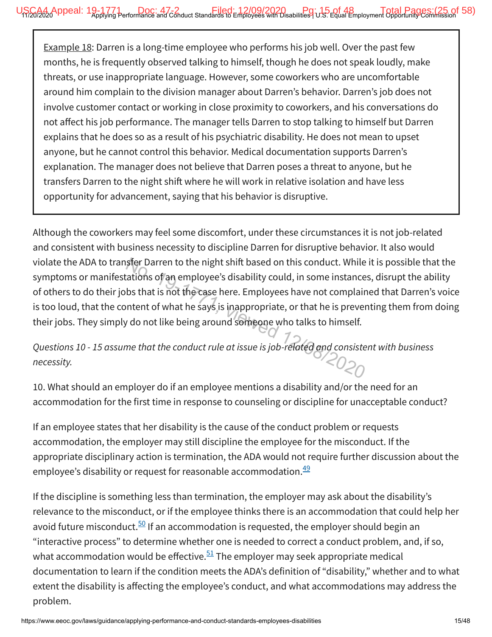Example 18: Darren is a long-time employee who performs his job well. Over the past few months, he is frequently observed talking to himself, though he does not speak loudly, make threats, or use inappropriate language. However, some coworkers who are uncomfortable around him complain to the division manager about Darren's behavior. Darren's job does not involve customer contact or working in close proximity to coworkers, and his conversations do not affect his job performance. The manager tells Darren to stop talking to himself but Darren explains that he does so as a result of his psychiatric disability. He does not mean to upset anyone, but he cannot control this behavior. Medical documentation supports Darren's explanation. The manager does not believe that Darren poses a threat to anyone, but he transfers Darren to the night shift where he will work in relative isolation and have less opportunity for advancement, saying that his behavior is disruptive.

Although the coworkers may feel some discomfort, under these circumstances it is not job-related and consistent with business necessity to discipline Darren for disruptive behavior. It also would violate the ADA to transfer Darren to the night shift based on this conduct. While it is possible that the symptoms or manifestations of an employee's disability could, in some instances, disrupt the ability of others to do their jobs that is not the case here. Employees have not complained that Darren's voice is too loud, that the content of what he says is inappropriate, or that he is preventing them from doing their jobs. They simply do not like being around someone who talks to himself. sfer Darren to the night shift based on this conduct. While<br>ations of an employee's disability could, in some instance<br>bs that is not the case here. Employees have not complair<br>intent of what he says is inappropriate, or t

Questions 10 - 15 assume that the conduct rule at issue is job-related and consistent with business necessity.

10. What should an employer do if an employee mentions a disability and/or the need for an accommodation for the first time in response to counseling or discipline for unacceptable conduct?

If an employee states that her disability is the cause of the conduct problem or requests accommodation, the employer may still discipline the employee for the misconduct. If the appropriate disciplinary action is termination, the ADA would not require further discussion about the employee's disability or request for reasonable accommodation.  $\frac{49}{5}$ 

If the discipline is something less than termination, the employer may ask about the disability's relevance to the misconduct, or if the employee thinks there is an accommodation that could help her avoid future misconduct. $50$  If an accommodation is requested, the employer should begin an "interactive process" to determine whether one is needed to correct a conduct problem, and, if so, what accommodation would be effective. $\frac{51}{2}$  The employer may seek appropriate medical documentation to learn if the condition meets the ADA's definition of "disability," whether and to what extent the disability is affecting the employee's conduct, and what accommodations may address the problem.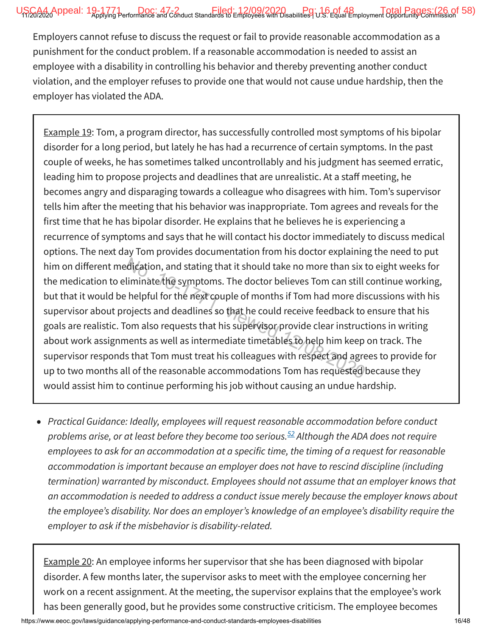# USCA4 Appeal: 19-1771 Doc: 47-2 Filed: 12/09/2020 Pg: 16 of 48 Total Pages: (26 of 58)<br>11/20/2020 Applying Performance and Conduct Standards to Employees with Disabilities U.S. Equal Employment Opportunity Commission

Employers cannot refuse to discuss the request or fail to provide reasonable accommodation as a punishment for the conduct problem. If a reasonable accommodation is needed to assist an employee with a disability in controlling his behavior and thereby preventing another conduct violation, and the employer refuses to provide one that would not cause undue hardship, then the employer has violated the ADA.

Example 19: Tom, a program director, has successfully controlled most symptoms of his bipolar disorder for a long period, but lately he has had a recurrence of certain symptoms. In the past couple of weeks, he has sometimes talked uncontrollably and his judgment has seemed erratic, leading him to propose projects and deadlines that are unrealistic. At a staff meeting, he becomes angry and disparaging towards a colleague who disagrees with him. Tom's supervisor tells him after the meeting that his behavior was inappropriate. Tom agrees and reveals for the first time that he has bipolar disorder. He explains that he believes he is experiencing a recurrence of symptoms and says that he will contact his doctor immediately to discuss medical options. The next day Tom provides documentation from his doctor explaining the need to put him on different medication, and stating that it should take no more than six to eight weeks for the medication to eliminate the symptoms. The doctor believes Tom can still continue working, but that it would be helpful for the next couple of months if Tom had more discussions with his supervisor about projects and deadlines so that he could receive feedback to ensure that his goals are realistic. Tom also requests that his supervisor provide clear instructions in writing about work assignments as well as intermediate timetables to help him keep on track. The supervisor responds that Tom must treat his colleagues with respect and agrees to provide for up to two months all of the reasonable accommodations Tom has requested because they would assist him to continue performing his job without causing an undue hardship. dication, and stating that it should take no more than six turninate the symptoms. The doctor believes Tom can still helpful for the next couple of months if Tom had more disojects and deadlines so that he could receive fe

• Practical Guidance: Ideally, employees will request reasonable accommodation before conduct problems arise, or at least before they become too serious. $^{52}$  Although the ADA does not require employees to ask for an accommodation at a specific time, the timing of a request for reasonable accommodation is important because an employer does not have to rescind discipline (including termination) warranted by misconduct. Employees should not assume that an employer knows that an accommodation is needed to address a conduct issue merely because the employer knows about the employee's disability. Nor does an employer's knowledge of an employee's disability require the employer to ask if the misbehavior is disability-related.

Example 20: An employee informs her supervisor that she has been diagnosed with bipolar disorder. A few months later, the supervisor asks to meet with the employee concerning her work on a recent assignment. At the meeting, the supervisor explains that the employee's work has been generally good, but he provides some constructive criticism. The employee becomes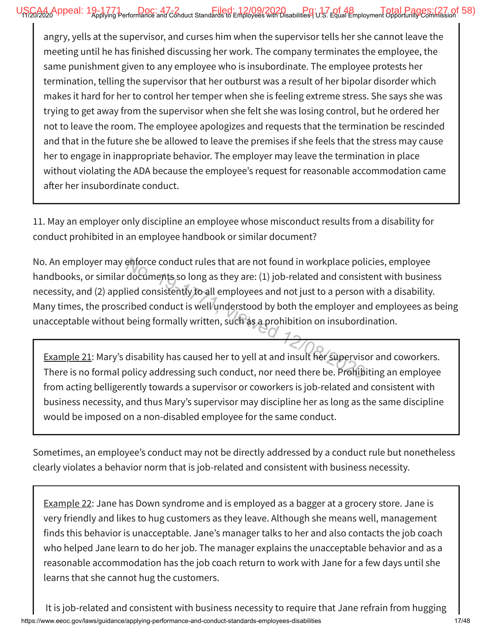# USCA4 Appeal: 19-1771 Doc: 47-2 Filed: 12/09/2020 Pg: 17 of 48 Total Pages: (27 of 58)<br>11/20/2020 Applying Performance and Conduct Standards to Employees with Disabilities U.S. Equal Employment Opportunity Commission

angry, yells at the supervisor, and curses him when the supervisor tells her she cannot leave the meeting until he has finished discussing her work. The company terminates the employee, the same punishment given to any employee who is insubordinate. The employee protests her termination, telling the supervisor that her outburst was a result of her bipolar disorder which makes it hard for her to control her temper when she is feeling extreme stress. She says she was trying to get away from the supervisor when she felt she was losing control, but he ordered her not to leave the room. The employee apologizes and requests that the termination be rescinded and that in the future she be allowed to leave the premises if she feels that the stress may cause her to engage in inappropriate behavior. The employer may leave the termination in place without violating the ADA because the employee's request for reasonable accommodation came after her insubordinate conduct.

11. May an employer only discipline an employee whose misconduct results from a disability for conduct prohibited in an employee handbook or similar document?

No. An employer may enforce conduct rules that are not found in workplace policies, employee handbooks, or similar documents so long as they are: (1) job-related and consistent with business necessity, and (2) applied consistently to all employees and not just to a person with a disability. Many times, the proscribed conduct is well understood by both the employer and employees as being unacceptable without being formally written, such as a prohibition on insubordination. enforce conduct rules that are not found in workplace policine documents so long as they are: (1) job-related and consisted consistently to all employees and not just to a person ribed conduct is well understood by both th

Example 21: Mary's disability has caused her to yell at and insult her supervisor and coworkers. There is no formal policy addressing such conduct, nor need there be. Prohibiting an employee from acting belligerently towards a supervisor or coworkers is job-related and consistent with business necessity, and thus Mary's supervisor may discipline her as long as the same discipline would be imposed on a non-disabled employee for the same conduct.

Sometimes, an employee's conduct may not be directly addressed by a conduct rule but nonetheless clearly violates a behavior norm that is job-related and consistent with business necessity.

Example 22: Jane has Down syndrome and is employed as a bagger at a grocery store. Jane is very friendly and likes to hug customers as they leave. Although she means well, management finds this behavior is unacceptable. Jane's manager talks to her and also contacts the job coach who helped Jane learn to do her job. The manager explains the unacceptable behavior and as a reasonable accommodation has the job coach return to work with Jane for a few days until she learns that she cannot hug the customers.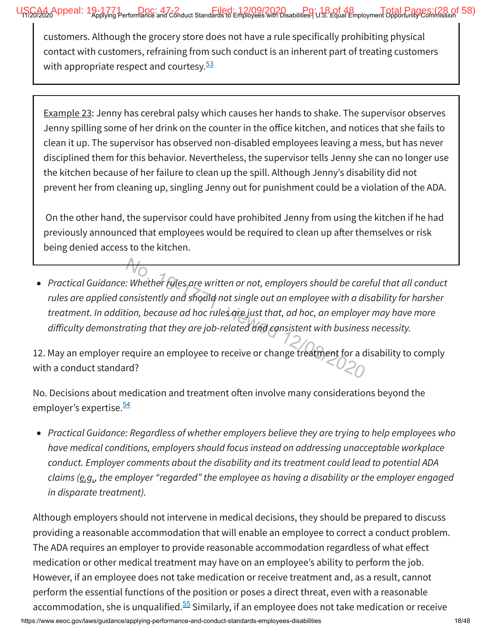# USCA4 Appeal: 19-1771 Doc: 47-2 Filed: 12/09/2020 Pg: 18 of 48 Total Pages: (28 of 58)<br>11/20/2020 Applying Performance and Conduct Standards to Employees with Disabilities U.S. Equal Employment Opportunity Commission

customers. Although the grocery store does not have a rule specifically prohibiting physical contact with customers, refraining from such conduct is an inherent part of treating customers with appropriate respect and courtesy. $53$ 

Example 23: Jenny has cerebral palsy which causes her hands to shake. The supervisor observes Jenny spilling some of her drink on the counter in the office kitchen, and notices that she fails to clean it up. The supervisor has observed non-disabled employees leaving a mess, but has never disciplined them for this behavior. Nevertheless, the supervisor tells Jenny she can no longer use the kitchen because of her failure to clean up the spill. Although Jenny's disability did not prevent her from cleaning up, singling Jenny out for punishment could be a violation of the ADA.

 On the other hand, the supervisor could have prohibited Jenny from using the kitchen if he had previously announced that employees would be required to clean up after themselves or risk being denied access to the kitchen.

• Practical Guidance: Whether rules are written or not, employers should be careful that all conduct rules are applied consistently and should not single out an employee with a disability for harsher treatment. In addition, because ad hoc rules are just that, ad hoc, an employer may have more difficulty demonstrating that they are job-related and consistent with business necessity. *No*.<br>
Whether fules are written or not, employers should be cards in the fules are written or not, employers should be cards in that, and in the distribution, because ad hoc rules are just that, ad hoc, an employe ating t

12. May an employer require an employee to receive or change treatment for a disability to comply with a conduct standard?

No. Decisions about medication and treatment often involve many considerations beyond the employer's expertise.<sup>54</sup>

• Practical Guidance: Regardless of whether employers believe they are trying to help employees who have medical conditions, employers should focus instead on addressing unacceptable workplace conduct. Employer comments about the disability and its treatment could lead to potential ADA claims  $(e,q)$ , the employer "regarded" the employee as having a disability or the employer engaged in disparate treatment).

Although employers should not intervene in medical decisions, they should be prepared to discuss providing a reasonable accommodation that will enable an employee to correct a conduct problem. The ADA requires an employer to provide reasonable accommodation regardless of what effect medication or other medical treatment may have on an employee's ability to perform the job. However, if an employee does not take medication or receive treatment and, as a result, cannot perform the essential functions of the position or poses a direct threat, even with a reasonable accommodation, she is unqualified. $55$  Similarly, if an employee does not take medication or receive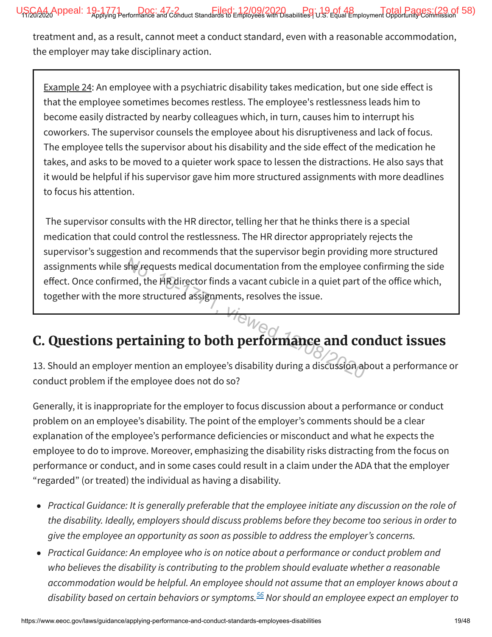treatment and, as a result, cannot meet a conduct standard, even with a reasonable accommodation, the employer may take disciplinary action.

Example 24: An employee with a psychiatric disability takes medication, but one side effect is that the employee sometimes becomes restless. The employee's restlessness leads him to become easily distracted by nearby colleagues which, in turn, causes him to interrupt his coworkers. The supervisor counsels the employee about his disruptiveness and lack of focus. The employee tells the supervisor about his disability and the side effect of the medication he takes, and asks to be moved to a quieter work space to lessen the distractions. He also says that it would be helpful if his supervisor gave him more structured assignments with more deadlines to focus his attention.

 The supervisor consults with the HR director, telling her that he thinks there is a special medication that could control the restlessness. The HR director appropriately rejects the supervisor's suggestion and recommends that the supervisor begin providing more structured assignments while she requests medical documentation from the employee confirming the side effect. Once confirmed, the HR director finds a vacant cubicle in a quiet part of the office which, together with the more structured assignments, resolves the issue. She requests medical documentation from the employee cond, the HR director finds a vacant cubicle in a quiet part of ore structured assignments, resolves the issue.<br>
Short the issue.<br>
The structured assignments, resolves t

# **C. Questions pertaining to both performance and conduct issues**

13. Should an employer mention an employee's disability during a discussion about a performance or conduct problem if the employee does not do so?

Generally, it is inappropriate for the employer to focus discussion about a performance or conduct problem on an employee's disability. The point of the employer's comments should be a clear explanation of the employee's performance deficiencies or misconduct and what he expects the employee to do to improve. Moreover, emphasizing the disability risks distracting from the focus on performance or conduct, and in some cases could result in a claim under the ADA that the employer "regarded" (or treated) the individual as having a disability.

- Practical Guidance: It is generally preferable that the employee initiate any discussion on the role of the disability. Ideally, employers should discuss problems before they become too serious in order to give the employee an opportunity as soon as possible to address the employer's concerns.
- Practical Guidance: An employee who is on notice about a performance or conduct problem and who believes the disability is contributing to the problem should evaluate whether a reasonable accommodation would be helpful. An employee should not assume that an employer knows about a disability based on certain behaviors or symptoms.  $56$  Nor should an employee expect an employer to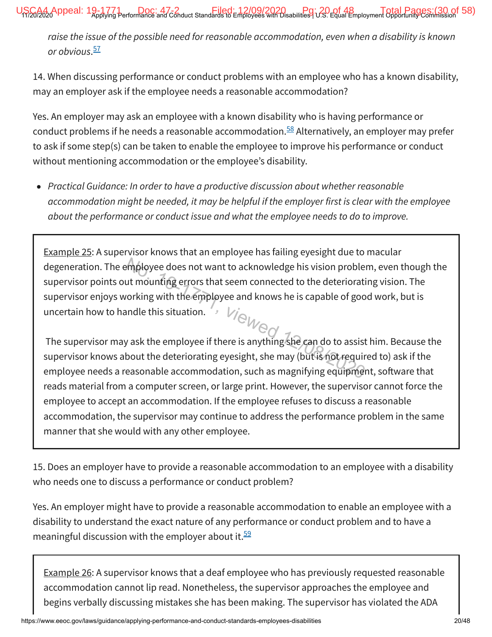raise the issue of the possible need for reasonable accommodation, even when a disability is known or obvious.<sup>57</sup>

14. When discussing performance or conduct problems with an employee who has a known disability, may an employer ask if the employee needs a reasonable accommodation?

Yes. An employer may ask an employee with a known disability who is having performance or conduct problems if he needs a reasonable accommodation.<sup>58</sup> Alternatively, an employer may prefer to ask if some step(s) can be taken to enable the employee to improve his performance or conduct without mentioning accommodation or the employee's disability.

• Practical Guidance: In order to have a productive discussion about whether reasonable accommodation might be needed, it may be helpful if the employer first is clear with the employee about the performance or conduct issue and what the employee needs to do to improve.

Example 25: A supervisor knows that an employee has failing eyesight due to macular degeneration. The employee does not want to acknowledge his vision problem, even though the supervisor points out mounting errors that seem connected to the deteriorating vision. The supervisor enjoys working with the employee and knows he is capable of good work, but is uncertain how to handle this situation. Mployee does not want to acknowledge his vision proble<br>ut mounting errors that seem connected to the deterioration<br>viewed to the deterioration<br>indle this situation.<br>y ask the employee if there is anything she can do to ass

The supervisor may ask the employee if there is anything she can do to assist him. Because the supervisor knows about the deteriorating eyesight, she may (but is not required to) ask if the employee needs a reasonable accommodation, such as magnifying equipment, software that reads material from a computer screen, or large print. However, the supervisor cannot force the employee to accept an accommodation. If the employee refuses to discuss a reasonable accommodation, the supervisor may continue to address the performance problem in the same manner that she would with any other employee.

15. Does an employer have to provide a reasonable accommodation to an employee with a disability who needs one to discuss a performance or conduct problem?

Yes. An employer might have to provide a reasonable accommodation to enable an employee with a disability to understand the exact nature of any performance or conduct problem and to have a meaningful discussion with the employer about it. $\frac{59}{2}$ 

Example 26: A supervisor knows that a deaf employee who has previously requested reasonable accommodation cannot lip read. Nonetheless, the supervisor approaches the employee and begins verbally discussing mistakes she has been making. The supervisor has violated the ADA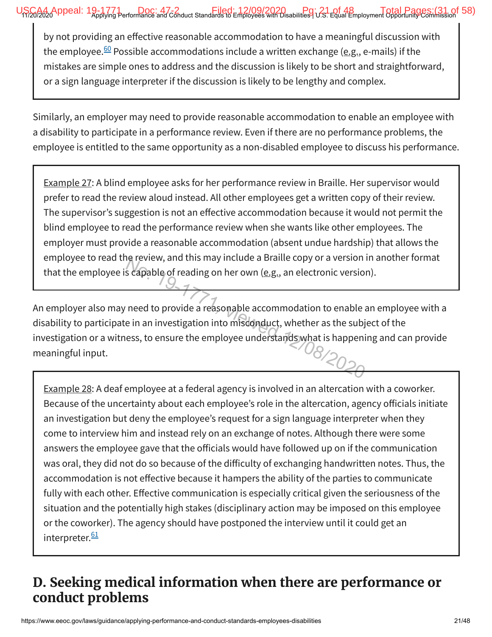# USCA4 Appeal: 19-1771 Doc: 47-2 Filed: 12/09/2020 Pg: 21 of 48 Total Pages: (31 of 58)<br>11/20/2020 Applying Performance and Conduct Standards to Employees with Disabilities U.S. Equal Employment Opportunity Commission

by not providing an effective reasonable accommodation to have a meaningful discussion with the employee. $\frac{60}{ }$  Possible accommodations include a written exchange (<u>e.g.,</u> e-mails) if the mistakes are simple ones to address and the discussion is likely to be short and straightforward, or a sign language interpreter if the discussion is likely to be lengthy and complex.

Similarly, an employer may need to provide reasonable accommodation to enable an employee with a disability to participate in a performance review. Even if there are no performance problems, the employee is entitled to the same opportunity as a non-disabled employee to discuss his performance.

Example 27: A blind employee asks for her performance review in Braille. Her supervisor would prefer to read the review aloud instead. All other employees get a written copy of their review. The supervisor's suggestion is not an effective accommodation because it would not permit the blind employee to read the performance review when she wants like other employees. The employer must provide a reasonable accommodation (absent undue hardship) that allows the employee to read the review, and this may include a Braille copy or a version in another format that the employee is capable of reading on her own  $(\underline{e.g.})$ , an electronic version).

An employer also may need to provide a reasonable accommodation to enable an employee with a disability to participate in an investigation into misconduct, whether as the subject of the investigation or a witness, to ensure the employee understands what is happening and can provide meaningful input. No. 19-12-13-13, and this may include a Branite copy or a version<br>of scapable of reading on her own (e.g., an electronic version<br>need to provide a reasonable accommodation to enable a<br>e in an investigation into misdonaluc

Example 28: A deaf employee at a federal agency is involved in an altercation with a coworker. Because of the uncertainty about each employee's role in the altercation, agency officials initiate an investigation but deny the employee's request for a sign language interpreter when they come to interview him and instead rely on an exchange of notes. Although there were some answers the employee gave that the officials would have followed up on if the communication was oral, they did not do so because of the difficulty of exchanging handwritten notes. Thus, the accommodation is not effective because it hampers the ability of the parties to communicate fully with each other. Effective communication is especially critical given the seriousness of the situation and the potentially high stakes (disciplinary action may be imposed on this employee or the coworker). The agency should have postponed the interview until it could get an interpreter.<sup>61</sup>

# **D. Seeking medical information when there are performance or conduct problems**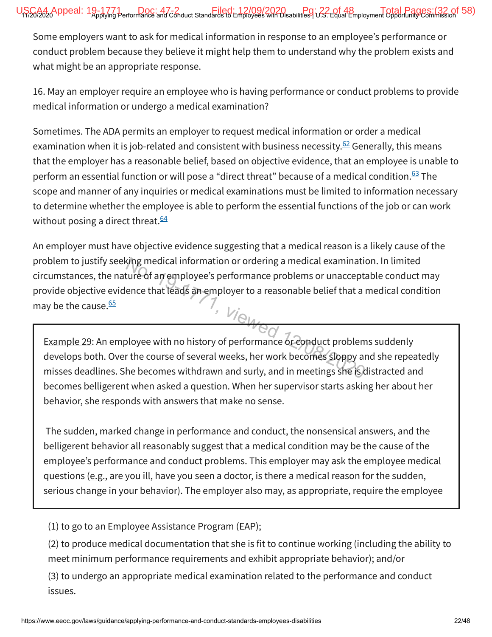Some employers want to ask for medical information in response to an employee's performance or conduct problem because they believe it might help them to understand why the problem exists and what might be an appropriate response.

16. May an employer require an employee who is having performance or conduct problems to provide medical information or undergo a medical examination?

Sometimes. The ADA permits an employer to request medical information or order a medical examination when it is job-related and consistent with business necessity. $\frac{62}{5}$  Generally, this means that the employer has a reasonable belief, based on objective evidence, that an employee is unable to perform an essential function or will pose a "direct threat" because of a medical condition.<sup>63</sup> The scope and manner of any inquiries or medical examinations must be limited to information necessary to determine whether the employee is able to perform the essential functions of the job or can work without posing a direct threat.<sup>64</sup>

An employer must have objective evidence suggesting that a medical reason is a likely cause of the problem to justify seeking medical information or ordering a medical examination. In limited circumstances, the nature of an employee's performance problems or unacceptable conduct may provide objective evidence that leads an employer to a reasonable belief that a medical condition may be the cause.<sup>65</sup>  $\frac{1}{\sqrt{2}}$  viewed

Example 29: An employee with no history of performance or conduct problems suddenly develops both. Over the course of several weeks, her work becomes sloppy and she repeatedly misses deadlines. She becomes withdrawn and surly, and in meetings she is distracted and becomes belligerent when asked a question. When her supervisor starts asking her about her behavior, she responds with answers that make no sense.

 The sudden, marked change in performance and conduct, the nonsensical answers, and the belligerent behavior all reasonably suggest that a medical condition may be the cause of the employee's performance and conduct problems. This employer may ask the employee medical questions (e.g., are you ill, have you seen a doctor, is there a medical reason for the sudden, serious change in your behavior). The employer also may, as appropriate, require the employee

(1) to go to an Employee Assistance Program (EAP);

(2) to produce medical documentation that she is fit to continue working (including the ability to meet minimum performance requirements and exhibit appropriate behavior); and/or

(3) to undergo an appropriate medical examination related to the performance and conduct issues.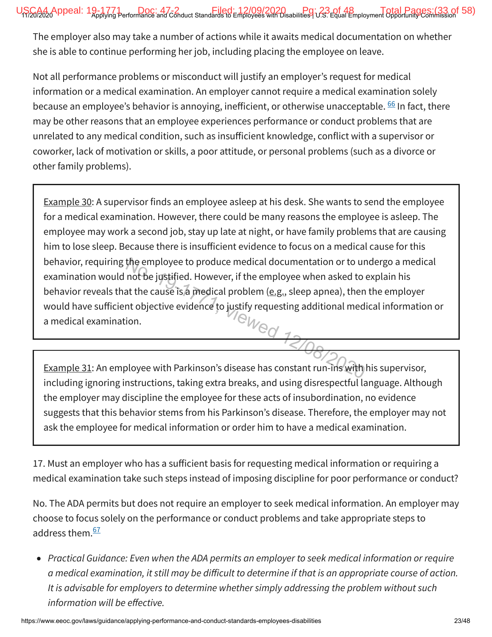# USCA4 Appeal: 19-1771 Doc: 47-2 Filed: 12/09/2020 Pg: 23 of 48 Total Pages: (33 of 58)<br>11/20/2020 Applying Performance and Conduct Standards to Employees with Disabilities U.S. Equal Employment Opportunity Commission

The employer also may take a number of actions while it awaits medical documentation on whether she is able to continue performing her job, including placing the employee on leave.

Not all performance problems or misconduct will justify an employer's request for medical information or a medical examination. An employer cannot require a medical examination solely because an employee's behavior is annoying, inefficient, or otherwise unacceptable.  $^{66}$  In fact, there may be other reasons that an employee experiences performance or conduct problems that are unrelated to any medical condition, such as insufficient knowledge, conflict with a supervisor or coworker, lack of motivation or skills, a poor attitude, or personal problems (such as a divorce or other family problems).

Example 30: A supervisor finds an employee asleep at his desk. She wants to send the employee for a medical examination. However, there could be many reasons the employee is asleep. The employee may work a second job, stay up late at night, or have family problems that are causing him to lose sleep. Because there is insufficient evidence to focus on a medical cause for this behavior, requiring the employee to produce medical documentation or to undergo a medical examination would not be justified. However, if the employee when asked to explain his behavior reveals that the cause is a medical problem  $(e.g.,\,$  sleep apnea), then the employer would have sufficient objective evidence to justify requesting additional medical information or a medical examination. Newed 12/08

Example 31: An employee with Parkinson's disease has constant run-ins with his supervisor, including ignoring instructions, taking extra breaks, and using disrespectful language. Although the employer may discipline the employee for these acts of insubordination, no evidence suggests that this behavior stems from his Parkinson's disease. Therefore, the employer may not ask the employee for medical information or order him to have a medical examination.

17. Must an employer who has a sufficient basis for requesting medical information or requiring a medical examination take such steps instead of imposing discipline for poor performance or conduct?

No. The ADA permits but does not require an employer to seek medical information. An employer may choose to focus solely on the performance or conduct problems and take appropriate steps to address them.<sup>67</sup>

• Practical Guidance: Even when the ADA permits an employer to seek medical information or require a medical examination, it still may be difficult to determine if that is an appropriate course of action. It is advisable for employers to determine whether simply addressing the problem without such information will be effective.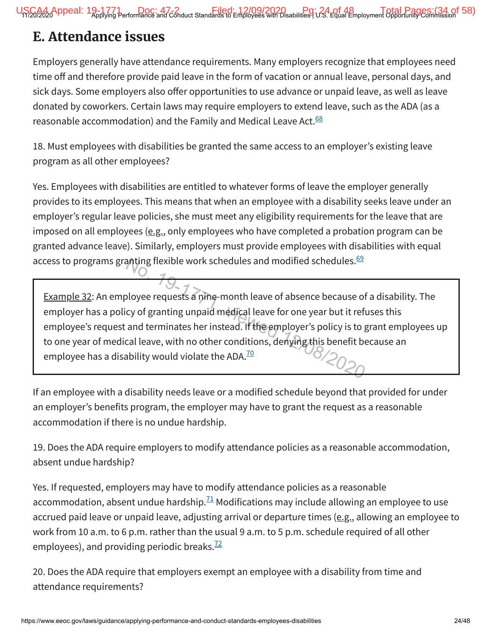# **E. Attendance issues**

Employers generally have attendance requirements. Many employers recognize that employees need time off and therefore provide paid leave in the form of vacation or annual leave, personal days, and sick days. Some employers also offer opportunities to use advance or unpaid leave, as well as leave donated by coworkers. Certain laws may require employers to extend leave, such as the ADA (as a reasonable accommodation) and the Family and Medical Leave Act.<sup>68</sup>

18. Must employees with disabilities be granted the same access to an employer's existing leave program as all other employees?

Yes. Employees with disabilities are entitled to whatever forms of leave the employer generally provides to its employees. This means that when an employee with a disability seeks leave under an employer's regular leave policies, she must meet any eligibility requirements for the leave that are imposed on all employees (e.g., only employees who have completed a probation program can be granted advance leave). Similarly, employers must provide employees with disabilities with equal access to programs granting flexible work schedules and modified schedules.<sup>69</sup>

Example 32: An employee requests a nine-month leave of absence because of a disability. The employer has a policy of granting unpaid medical leave for one year but it refuses this employee's request and terminates her instead. If the employer's policy is to grant employees up to one year of medical leave, with no other conditions, denying this benefit because an employee has a disability would violate the ADA. $^{\text{70}}$ anting flexible work schedules and modified schedules.<sup>89</sup><br>
Oloyee requests a pine-month leave of absence because of<br>
cy of granting unpaid medical leave for one year but it refu<br>
and terminates her instead. If the employ

If an employee with a disability needs leave or a modified schedule beyond that provided for under an employer's benefits program, the employer may have to grant the request as a reasonable accommodation if there is no undue hardship.

19. Does the ADA require employers to modify attendance policies as a reasonable accommodation, absent undue hardship?

Yes. If requested, employers may have to modify attendance policies as a reasonable accommodation, absent undue hardship. $^{71}$  Modifications may include allowing an employee to use accrued paid leave or unpaid leave, adjusting arrival or departure times (e.g., allowing an employee to work from 10 a.m. to 6 p.m. rather than the usual 9 a.m. to 5 p.m. schedule required of all other employees), and providing periodic breaks.<sup>72</sup>

20. Does the ADA require that employers exempt an employee with a disability from time and attendance requirements?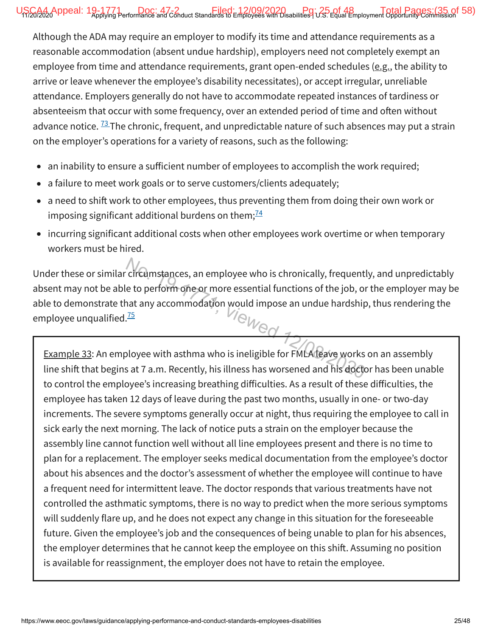# USCA4 Appeal: 19-1771 Doc: 47-2 Filed: 12/09/2020 Pg: 25 of 48 Total Pages: (35 of 58)<br>11/20/2020 Applying Performance and Conduct Standards to Employees with Disabilities U.S. Equal Employment Opportunity Commission

Although the ADA may require an employer to modify its time and attendance requirements as a reasonable accommodation (absent undue hardship), employers need not completely exempt an employee from time and attendance requirements, grant open-ended schedules (e.g., the ability to arrive or leave whenever the employee's disability necessitates), or accept irregular, unreliable attendance. Employers generally do not have to accommodate repeated instances of tardiness or absenteeism that occur with some frequency, over an extended period of time and often without advance notice. <sup>73</sup>The chronic, frequent, and unpredictable nature of such absences may put a strain on the employer's operations for a variety of reasons, such as the following:

- an inability to ensure a sufficient number of employees to accomplish the work required;  $\bullet$
- a failure to meet work goals or to serve customers/clients adequately;  $\bullet$
- a need to shift work to other employees, thus preventing them from doing their own work or imposing significant additional burdens on them;<sup>74</sup>
- incurring significant additional costs when other employees work overtime or when temporary workers must be hired.

Under these or similar circumstances, an employee who is chronically, frequently, and unpredictably absent may not be able to perform one or more essential functions of the job, or the employer may be able to demonstrate that any accommodation would impose an undue hardship, thus rendering the employee unqualified.<sup>75</sup> Viewed 1

Example 33: An employee with asthma who is ineligible for FMLA leave works on an assembly line shift that begins at 7 a.m. Recently, his illness has worsened and his doctor has been unable to control the employee's increasing breathing difficulties. As a result of these difficulties, the employee has taken 12 days of leave during the past two months, usually in one- or two-day increments. The severe symptoms generally occur at night, thus requiring the employee to call in sick early the next morning. The lack of notice puts a strain on the employer because the assembly line cannot function well without all line employees present and there is no time to plan for a replacement. The employer seeks medical documentation from the employee's doctor about his absences and the doctor's assessment of whether the employee will continue to have a frequent need for intermittent leave. The doctor responds that various treatments have not controlled the asthmatic symptoms, there is no way to predict when the more serious symptoms will suddenly flare up, and he does not expect any change in this situation for the foreseeable future. Given the employee's job and the consequences of being unable to plan for his absences, the employer determines that he cannot keep the employee on this shift. Assuming no position is available for reassignment, the employer does not have to retain the employee.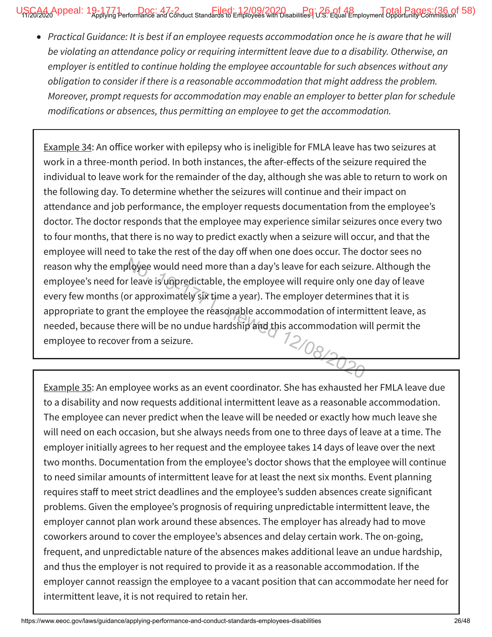# USCA4 Appeal: 19-1771 Doc: 47-2 Filed: 12/09/2020 Pg: 26 of 48 Total Pages: (36 of 58)<br>11/20/2020 Applying Performance and Conduct Standards to Employees with Disabilities U.S. Equal Employment Opportunity Commission

• Practical Guidance: It is best if an employee requests accommodation once he is aware that he will be violating an attendance policy or requiring intermittent leave due to a disability. Otherwise, an employer is entitled to continue holding the employee accountable for such absences without any obligation to consider if there is a reasonable accommodation that might address the problem. Moreover, prompt requests for accommodation may enable an employer to better plan for schedule modifications or absences, thus permitting an employee to get the accommodation.

Example 34: An office worker with epilepsy who is ineligible for FMLA leave has two seizures at work in a three-month period. In both instances, the after-effects of the seizure required the individual to leave work for the remainder of the day, although she was able to return to work on the following day. To determine whether the seizures will continue and their impact on attendance and job performance, the employer requests documentation from the employee's doctor. The doctor responds that the employee may experience similar seizures once every two to four months, that there is no way to predict exactly when a seizure will occur, and that the employee will need to take the rest of the day off when one does occur. The doctor sees no reason why the employee would need more than a day's leave for each seizure. Although the employee's need for leave is unpredictable, the employee will require only one day of leave every few months (or approximately six time a year). The employer determines that it is appropriate to grant the employee the reasonable accommodation of intermittent leave, as needed, because there will be no undue hardship and this accommodation will permit the employee to recover from a seizure. employee to recover from a seizure. Noyee would need more than a day's leave for each seizur<br>
r leave is unpredictable, the employee will require only on<br>
pr approximately six time a year). The employer determine<br>
t the employee the reasonable accommodation

Example 35: An employee works as an event coordinator. She has exhausted her FMLA leave due to a disability and now requests additional intermittent leave as a reasonable accommodation. The employee can never predict when the leave will be needed or exactly how much leave she will need on each occasion, but she always needs from one to three days of leave at a time. The employer initially agrees to her request and the employee takes 14 days of leave over the next two months. Documentation from the employee's doctor shows that the employee will continue to need similar amounts of intermittent leave for at least the next six months. Event planning requires staff to meet strict deadlines and the employee's sudden absences create significant problems. Given the employee's prognosis of requiring unpredictable intermittent leave, the employer cannot plan work around these absences. The employer has already had to move coworkers around to cover the employee's absences and delay certain work. The on-going, frequent, and unpredictable nature of the absences makes additional leave an undue hardship, and thus the employer is not required to provide it as a reasonable accommodation. If the employer cannot reassign the employee to a vacant position that can accommodate her need for intermittent leave, it is not required to retain her.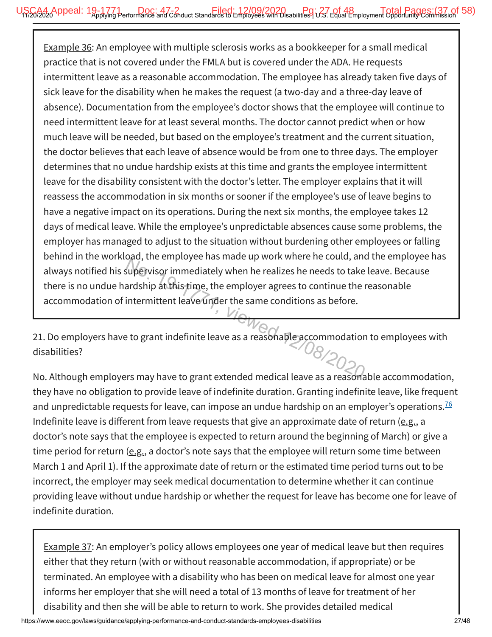Example 36: An employee with multiple sclerosis works as a bookkeeper for a small medical practice that is not covered under the FMLA but is covered under the ADA. He requests intermittent leave as a reasonable accommodation. The employee has already taken five days of sick leave for the disability when he makes the request (a two-day and a three-day leave of absence). Documentation from the employee's doctor shows that the employee will continue to need intermittent leave for at least several months. The doctor cannot predict when or how much leave will be needed, but based on the employee's treatment and the current situation, the doctor believes that each leave of absence would be from one to three days. The employer determines that no undue hardship exists at this time and grants the employee intermittent leave for the disability consistent with the doctor's letter. The employer explains that it will reassess the accommodation in six months or sooner if the employee's use of leave begins to have a negative impact on its operations. During the next six months, the employee takes 12 days of medical leave. While the employee's unpredictable absences cause some problems, the employer has managed to adjust to the situation without burdening other employees or falling behind in the workload, the employee has made up work where he could, and the employee has always notified his supervisor immediately when he realizes he needs to take leave. Because there is no undue hardship at this time, the employer agrees to continue the reasonable accommodation of intermittent leave under the same conditions as before. No. 19-1790 when he realizes he needs to take<br>ardship at this time, the employer agrees to continue the relations<br>intermittent leave under the same conditions as before.

21. Do employers have to grant indefinite leave as a reasonable accommodation to employees with disabilities?

No. Although employers may have to grant extended medical leave as a reasonable accommodation, they have no obligation to provide leave of indefinite duration. Granting indefinite leave, like frequent and unpredictable requests for leave, can impose an undue hardship on an employer's operations.<sup>76</sup> Indefinite leave is different from leave requests that give an approximate date of return  $(e.g., a$ doctor's note says that the employee is expected to return around the beginning of March) or give a time period for return  $(e.g., a doctor's note says that the employee will return some time between$ March 1 and April 1). If the approximate date of return or the estimated time period turns out to be incorrect, the employer may seek medical documentation to determine whether it can continue providing leave without undue hardship or whether the request for leave has become one for leave of indefinite duration.

Example 37: An employer's policy allows employees one year of medical leave but then requires either that they return (with or without reasonable accommodation, if appropriate) or be terminated. An employee with a disability who has been on medical leave for almost one year informs her employer that she will need a total of 13 months of leave for treatment of her disability and then she will be able to return to work. She provides detailed medical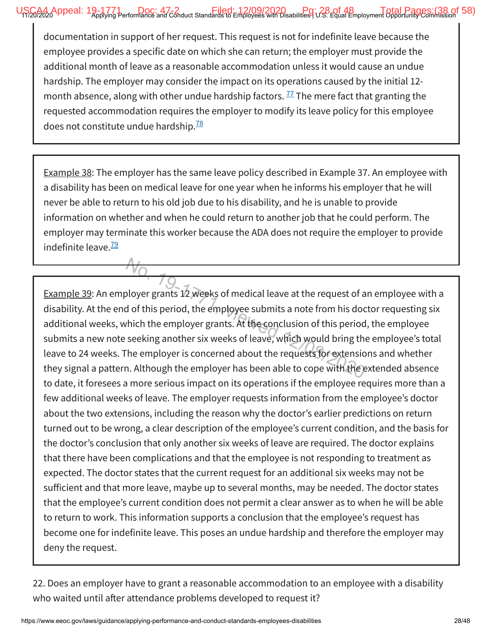# USCA4 Appeal: 19-1771 Doc: 47-2 Filed: 12/09/2020 Pg: 28 of 48 Total Pages: (38 of 58)<br>11/20/2020 Applying Performance and Conduct Standards to Employees with Disabilities U.S. Equal Employment Opportunity Commission

documentation in support of her request. This request is not for indefinite leave because the employee provides a specific date on which she can return; the employer must provide the additional month of leave as a reasonable accommodation unless it would cause an undue hardship. The employer may consider the impact on its operations caused by the initial 12 month absence, along with other undue hardship factors.  $\frac{77}{1}$  The mere fact that granting the requested accommodation requires the employer to modify its leave policy for this employee does not constitute undue hardship.<sup>78</sup>

Example 38: The employer has the same leave policy described in Example 37. An employee with a disability has been on medical leave for one year when he informs his employer that he will never be able to return to his old job due to his disability, and he is unable to provide information on whether and when he could return to another job that he could perform. The employer may terminate this worker because the ADA does not require the employer to provide indefinite leave.<sup>79</sup>

Example 39: An employer grants 12 weeks of medical leave at the request of an employee with a disability. At the end of this period, the employee submits a note from his doctor requesting six additional weeks, which the employer grants. At the conclusion of this period, the employee submits a new note seeking another six weeks of leave, which would bring the employee's total leave to 24 weeks. The employer is concerned about the requests for extensions and whether they signal a pattern. Although the employer has been able to cope with the extended absence to date, it foresees a more serious impact on its operations if the employee requires more than a few additional weeks of leave. The employer requests information from the employee's doctor about the two extensions, including the reason why the doctor's earlier predictions on return turned out to be wrong, a clear description of the employee's current condition, and the basis for the doctor's conclusion that only another six weeks of leave are required. The doctor explains that there have been complications and that the employee is not responding to treatment as expected. The doctor states that the current request for an additional six weeks may not be sufficient and that more leave, maybe up to several months, may be needed. The doctor states that the employee's current condition does not permit a clear answer as to when he will be able to return to work. This information supports a conclusion that the employee's request has become one for indefinite leave. This poses an undue hardship and therefore the employer may deny the request. No.<br>
Nover grants 12, weeks of medical leave at the request of a<br>
d of this period, the employee submits a note from his doc<br>
thich the employer grants. At the conclusion of this period<br>
seeking another six weeks of leave,

22. Does an employer have to grant a reasonable accommodation to an employee with a disability who waited until after attendance problems developed to request it?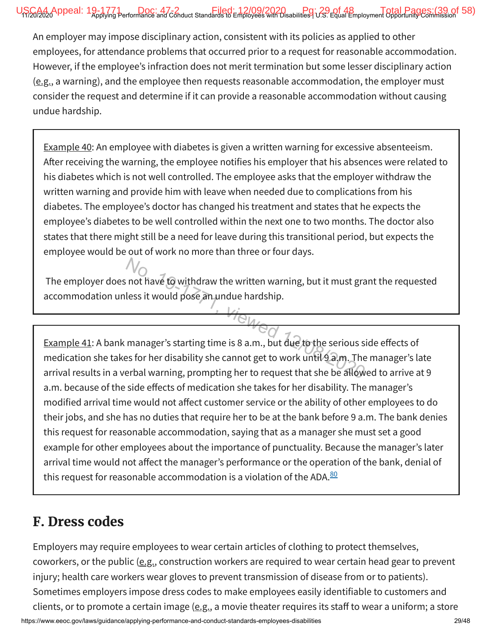# USCA4 Appeal: 19-1771 Doc: 47-2 Filed: 12/09/2020 Pg: 29 of 48 Total Pages: (39 of 58)<br>11/20/2020 Applying Performance and Conduct Standards to Employees with Disabilities U.S. Equal Employment Opportunity Commission

An employer may impose disciplinary action, consistent with its policies as applied to other employees, for attendance problems that occurred prior to a request for reasonable accommodation. However, if the employee's infraction does not merit termination but some lesser disciplinary action  $(e.g., a warning)$ , and the employee then requests reasonable accommodation, the employer must consider the request and determine if it can provide a reasonable accommodation without causing undue hardship.

Example 40: An employee with diabetes is given a written warning for excessive absenteeism. After receiving the warning, the employee notifies his employer that his absences were related to his diabetes which is not well controlled. The employee asks that the employer withdraw the written warning and provide him with leave when needed due to complications from his diabetes. The employee's doctor has changed his treatment and states that he expects the employee's diabetes to be well controlled within the next one to two months. The doctor also states that there might still be a need for leave during this transitional period, but expects the employee would be out of work no more than three or four days.

The employer does not have to withdraw the written warning, but it must grant the requested accommodation unless it would pose an undue hardship.

Example 41: A bank manager's starting time is 8 a.m., but due to the serious side effects of medication she takes for her disability she cannot get to work until 9 a.m. The manager's late arrival results in a verbal warning, prompting her to request that she be allowed to arrive at 9 a.m. because of the side effects of medication she takes for her disability. The manager's modified arrival time would not affect customer service or the ability of other employees to do their jobs, and she has no duties that require her to be at the bank before 9 a.m. The bank denies this request for reasonable accommodation, saying that as a manager she must set a good example for other employees about the importance of punctuality. Because the manager's later arrival time would not affect the manager's performance or the operation of the bank, denial of this request for reasonable accommodation is a violation of the ADA. $\frac{80}{2}$ No.<br>
not have to withdraw the written warning, but it must gra<br>
less it would pose an undue hardship.<br>
Well<br>
manager's starting time is 8 a.m., but due to the serious si<br>
es for her disability she cannot get to work until

# **F. Dress codes**

Employers may require employees to wear certain articles of clothing to protect themselves, coworkers, or the public  $(e.g.,$  construction workers are required to wear certain head gear to prevent injury; health care workers wear gloves to prevent transmission of disease from or to patients). Sometimes employers impose dress codes to make employees easily identifiable to customers and clients, or to promote a certain image  $(\underline{e.g.})$  a movie theater requires its staff to wear a uniform; a store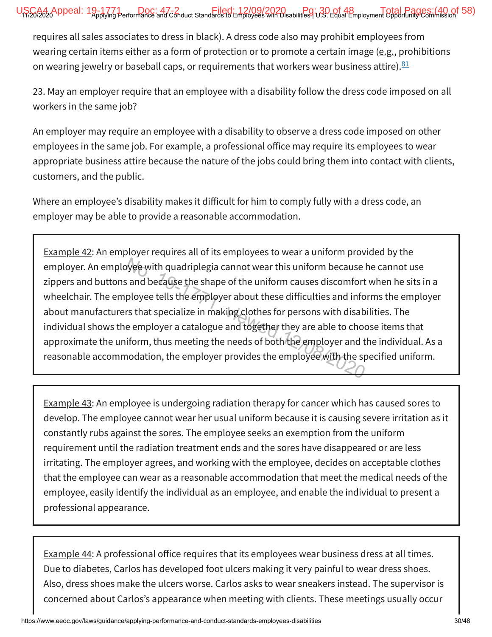# USCA4 Appeal: 19-1771 Doc: 47-2 Filed: 12/09/2020 Pg: 30 of 48 Total Pages: (40 of 58)<br>11/20/2020 Applying Performance and Conduct Standards to Employees with Disabilities U.S. Equal Employment Opportunity Commission

requires all sales associates to dress in black). A dress code also may prohibit employees from wearing certain items either as a form of protection or to promote a certain image  $(e.g.,$  prohibitions on wearing jewelry or baseball caps, or requirements that workers wear business attire). $81$ 

23. May an employer require that an employee with a disability follow the dress code imposed on all workers in the same job?

An employer may require an employee with a disability to observe a dress code imposed on other employees in the same job. For example, a professional office may require its employees to wear appropriate business attire because the nature of the jobs could bring them into contact with clients, customers, and the public.

Where an employee's disability makes it difficult for him to comply fully with a dress code, an employer may be able to provide a reasonable accommodation.

Example 42: An employer requires all of its employees to wear a uniform provided by the employer. An employee with quadriplegia cannot wear this uniform because he cannot use zippers and buttons and because the shape of the uniform causes discomfort when he sits in a wheelchair. The employee tells the employer about these difficulties and informs the employer about manufacturers that specialize in making clothes for persons with disabilities. The individual shows the employer a catalogue and together they are able to choose items that approximate the uniform, thus meeting the needs of both the employer and the individual. As a reasonable accommodation, the employer provides the employee with the specified uniform. Note with quadriplegia cannot wear this uniform because is and because the shape of the uniform causes discomfort<br>ployee tells the employer about these difficulties and informs that specialize in making clothes for persons

Example 43: An employee is undergoing radiation therapy for cancer which has caused sores to develop. The employee cannot wear her usual uniform because it is causing severe irritation as it constantly rubs against the sores. The employee seeks an exemption from the uniform requirement until the radiation treatment ends and the sores have disappeared or are less irritating. The employer agrees, and working with the employee, decides on acceptable clothes that the employee can wear as a reasonable accommodation that meet the medical needs of the employee, easily identify the individual as an employee, and enable the individual to present a professional appearance.

Example 44: A professional office requires that its employees wear business dress at all times. Due to diabetes, Carlos has developed foot ulcers making it very painful to wear dress shoes. Also, dress shoes make the ulcers worse. Carlos asks to wear sneakers instead. The supervisor is concerned about Carlos's appearance when meeting with clients. These meetings usually occur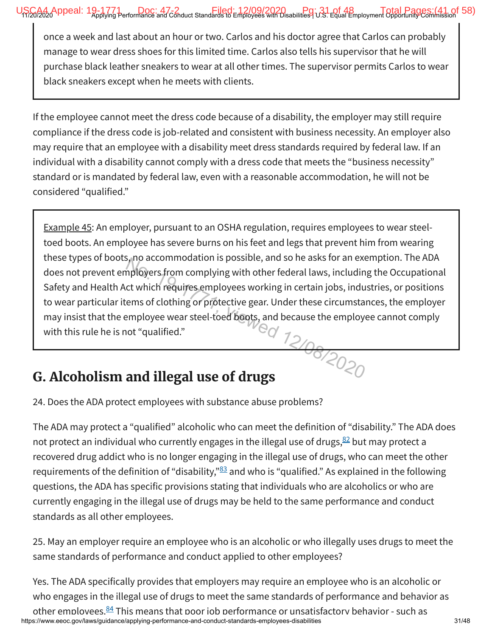once a week and last about an hour or two. Carlos and his doctor agree that Carlos can probably manage to wear dress shoes for this limited time. Carlos also tells his supervisor that he will purchase black leather sneakers to wear at all other times. The supervisor permits Carlos to wear black sneakers except when he meets with clients.

If the employee cannot meet the dress code because of a disability, the employer may still require compliance if the dress code is job-related and consistent with business necessity. An employer also may require that an employee with a disability meet dress standards required by federal law. If an individual with a disability cannot comply with a dress code that meets the "business necessity" standard or is mandated by federal law, even with a reasonable accommodation, he will not be considered "qualified."

Example 45: An employer, pursuant to an OSHA regulation, requires employees to wear steeltoed boots. An employee has severe burns on his feet and legs that prevent him from wearing these types of boots, no accommodation is possible, and so he asks for an exemption. The ADA does not prevent employers from complying with other federal laws, including the Occupational Safety and Health Act which requires employees working in certain jobs, industries, or positions to wear particular items of clothing or protective gear. Under these circumstances, the employer may insist that the employee wear steel-toed boots, and because the employee cannot comply with this rule he is not "qualified."  $\frac{12}{90}$  12/08/2020

# **G. Alcoholism and illegal use of drugs**

24. Does the ADA protect employees with substance abuse problems?

The ADA may protect a "qualified" alcoholic who can meet the definition of "disability." The ADA does not protect an individual who currently engages in the illegal use of drugs, $\frac{82}{3}$  but may protect a recovered drug addict who is no longer engaging in the illegal use of drugs, who can meet the other requirements of the definition of "disability," $83$  and who is "qualified." As explained in the following questions, the ADA has specific provisions stating that individuals who are alcoholics or who are currently engaging in the illegal use of drugs may be held to the same performance and conduct standards as all other employees.

25. May an employer require an employee who is an alcoholic or who illegally uses drugs to meet the same standards of performance and conduct applied to other employees?

Yes. The ADA specifically provides that employers may require an employee who is an alcoholic or who engages in the illegal use of drugs to meet the same standards of performance and behavior as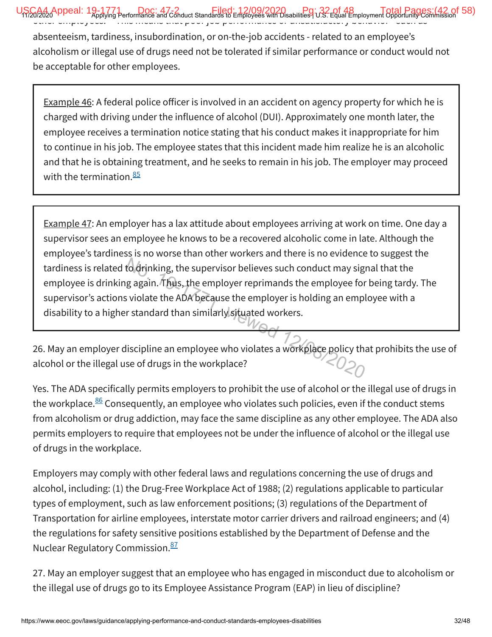11/20/2020 Applying Performance and Conduct Standards to Employees with Disabilities | U.S. Equal Employment Opportunity Commission other employees. This means that poor job performance or unsatisfactory behavior such as USCA4 Appeal: 19-1771 Doc: 47-2 Filed: 12/09/2020 Pg: 32 of 48 Total Pages: (42 of 58)

absenteeism, tardiness, insubordination, or on-the-job accidents - related to an employee's alcoholism or illegal use of drugs need not be tolerated if similar performance or conduct would not be acceptable for other employees.

Example 46: A federal police officer is involved in an accident on agency property for which he is charged with driving under the influence of alcohol (DUI). Approximately one month later, the employee receives a termination notice stating that his conduct makes it inappropriate for him to continue in his job. The employee states that this incident made him realize he is an alcoholic and that he is obtaining treatment, and he seeks to remain in his job. The employer may proceed with the termination.<sup>85</sup>

Example 47: An employer has a lax attitude about employees arriving at work on time. One day a supervisor sees an employee he knows to be a recovered alcoholic come in late. Although the employee's tardiness is no worse than other workers and there is no evidence to suggest the tardiness is related to drinking, the supervisor believes such conduct may signal that the employee is drinking again. Thus, the employer reprimands the employee for being tardy. The supervisor's actions violate the ADA because the employer is holding an employee with a disability to a higher standard than similarly situated workers. To drinking, the supervisor believes such conduct may sign g again. Thus, the employer reprimands the employee for<br>
siviolate the ADA because the employer is holding an employee for<br>
r standard than similarly situated work

26. May an employer discipline an employee who violates a workplace policy that prohibits the use of alcohol or the illegal use of drugs in the workplace?

Yes. The ADA specifically permits employers to prohibit the use of alcohol or the illegal use of drugs in the workplace. $^{\underline{86}}$  Consequently, an employee who violates such policies, even if the conduct stems from alcoholism or drug addiction, may face the same discipline as any other employee. The ADA also permits employers to require that employees not be under the influence of alcohol or the illegal use of drugs in the workplace.

Employers may comply with other federal laws and regulations concerning the use of drugs and alcohol, including: (1) the Drug-Free Workplace Act of 1988; (2) regulations applicable to particular types of employment, such as law enforcement positions; (3) regulations of the Department of Transportation for airline employees, interstate motor carrier drivers and railroad engineers; and (4) the regulations for safety sensitive positions established by the Department of Defense and the Nuclear Regulatory Commission.<sup>87</sup>

27. May an employer suggest that an employee who has engaged in misconduct due to alcoholism or the illegal use of drugs go to its Employee Assistance Program (EAP) in lieu of discipline?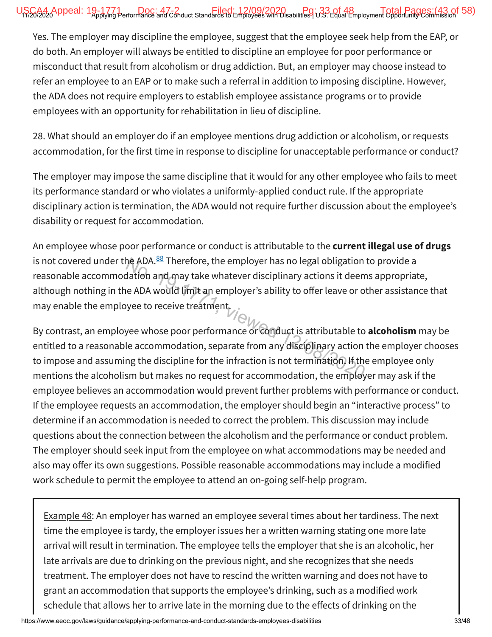# USCA4 Appeal: 19-1771 Doc: 47-2 Filed: 12/09/2020 Pg: 33 of 48 Total Pages: (43 of 58)<br>11/20/2020 Applying Performance and Conduct Standards to Employees with Disabilities U.S. Equal Employment Opportunity Commission

Yes. The employer may discipline the employee, suggest that the employee seek help from the EAP, or do both. An employer will always be entitled to discipline an employee for poor performance or misconduct that result from alcoholism or drug addiction. But, an employer may choose instead to refer an employee to an EAP or to make such a referral in addition to imposing discipline. However, the ADA does not require employers to establish employee assistance programs or to provide employees with an opportunity for rehabilitation in lieu of discipline.

28. What should an employer do if an employee mentions drug addiction or alcoholism, or requests accommodation, for the first time in response to discipline for unacceptable performance or conduct?

The employer may impose the same discipline that it would for any other employee who fails to meet its performance standard or who violates a uniformly-applied conduct rule. If the appropriate disciplinary action is termination, the ADA would not require further discussion about the employee's disability or request for accommodation.

An employee whose poor performance or conduct is attributable to the **current illegal use of drugs** is not covered under the ADA. $^{88}$  Therefore, the employer has no legal obligation to provide a reasonable accommodation and may take whatever disciplinary actions it deems appropriate, although nothing in the ADA would limit an employer's ability to offer leave or other assistance that may enable the employee to receive treatment.

By contrast, an employee whose poor performance or conduct is attributable to **alcoholism** may be entitled to a reasonable accommodation, separate from any disciplinary action the employer chooses to impose and assuming the discipline for the infraction is not termination. If the employee only mentions the alcoholism but makes no request for accommodation, the employer may ask if the employee believes an accommodation would prevent further problems with performance or conduct. If the employee requests an accommodation, the employer should begin an "interactive process" to determine if an accommodation is needed to correct the problem. This discussion may include questions about the connection between the alcoholism and the performance or conduct problem. The employer should seek input from the employee on what accommodations may be needed and also may offer its own suggestions. Possible reasonable accommodations may include a modified work schedule to permit the employee to attend an on-going self-help program. Ne ADA.<sup>88</sup> Therefore, the employer has no legal obligation<br>dation and may take whatever disciplinary actions it deem<br>is ADA would limit an employer's ability to offer leave or or<br>yee to receive treatment.<br>yee whose poor p

Example 48: An employer has warned an employee several times about her tardiness. The next time the employee is tardy, the employer issues her a written warning stating one more late arrival will result in termination. The employee tells the employer that she is an alcoholic, her late arrivals are due to drinking on the previous night, and she recognizes that she needs treatment. The employer does not have to rescind the written warning and does not have to grant an accommodation that supports the employee's drinking, such as a modified work schedule that allows her to arrive late in the morning due to the effects of drinking on the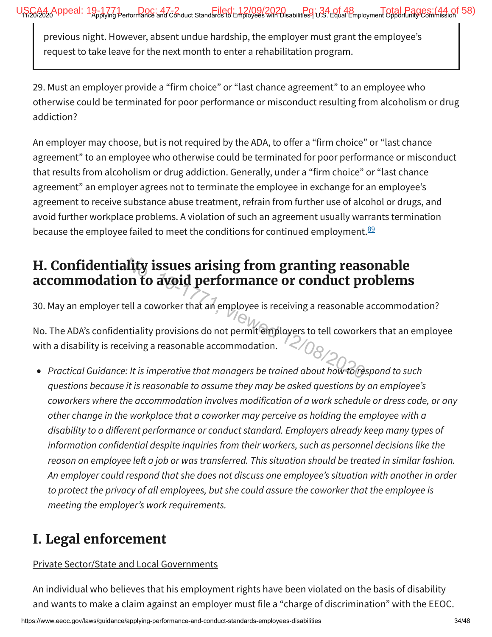USCA4 Appeal: 19-1771 Doc: 47-2 Filed: 12/09/2020 Pg: 34 of 48 Total Pages: (44 of 58)<br>11/20/2020 Applying Performance and Conduct Standards to Employees with Disabilities U.S. Equal Employment Opportunity Commission

previous night. However, absent undue hardship, the employer must grant the employee's request to take leave for the next month to enter a rehabilitation program.

29. Must an employer provide a "firm choice" or "last chance agreement" to an employee who otherwise could be terminated for poor performance or misconduct resulting from alcoholism or drug addiction?

An employer may choose, but is not required by the ADA, to offer a "firm choice" or "last chance agreement" to an employee who otherwise could be terminated for poor performance or misconduct that results from alcoholism or drug addiction. Generally, under a "firm choice" or "last chance agreement" an employer agrees not to terminate the employee in exchange for an employee's agreement to receive substance abuse treatment, refrain from further use of alcohol or drugs, and avoid further workplace problems. A violation of such an agreement usually warrants termination because the employee failed to meet the conditions for continued employment.<sup>89</sup>

# **H. Confidentiality issues arising from granting reasonable accommodation to avoid performance or conduct problems Ity issues arising from granting reas<br>in to avoid performance or conduct pr<br>ell a coworker that an employee is receiving a reasonable<br>tiality provisions do not permit employers to tell coworke<br>iving a reasonable accommoda**

30. May an employer tell a coworker that an employee is receiving a reasonable accommodation?

No. The ADA's confidentiality provisions do not permit employers to tell coworkers that an employee with a disability is receiving a reasonable accommodation.

• Practical Guidance: It is imperative that managers be trained about how to respond to such questions because it is reasonable to assume they may be asked questions by an employee's coworkers where the accommodation involves modification of a work schedule or dress code, or any other change in the workplace that a coworker may perceive as holding the employee with a disability to a different performance or conduct standard. Employers already keep many types of information confidential despite inquiries from their workers, such as personnel decisions like the reason an employee left a job or was transferred. This situation should be treated in similar fashion. An employer could respond that she does not discuss one employee's situation with another in order to protect the privacy of all employees, but she could assure the coworker that the employee is meeting the employer's work requirements.

# **I. Legal enforcement**

## Private Sector/State and Local Governments

An individual who believes that his employment rights have been violated on the basis of disability and wants to make a claim against an employer must file a "charge of discrimination" with the EEOC.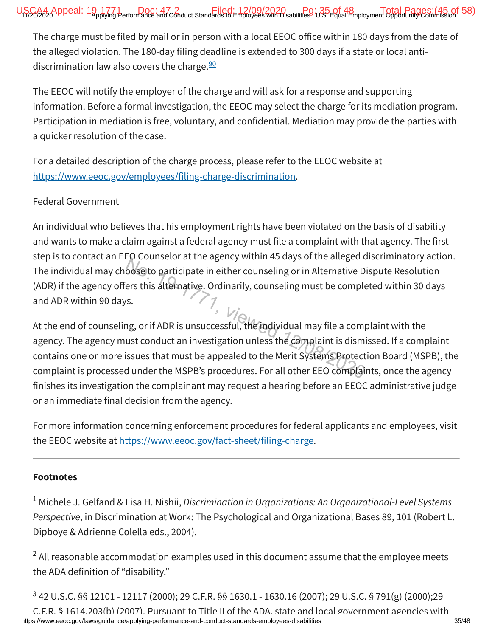# USCA4 Appeal: 19-1771 Doc: 47-2 Filed: 12/09/2020 Pg: 35 of 48 Total Pages: (45 of 58)<br>11/20/2020 Applying Performance and Conduct Standards to Employees with Disabilities U.S. Equal Employment Opportunity Commission

The charge must be filed by mail or in person with a local EEOC office within 180 days from the date of the alleged violation. The 180-day filing deadline is extended to 300 days if a state or local antidiscrimination law also covers the charge.<sup>90</sup>

The EEOC will notify the employer of the charge and will ask for a response and supporting information. Before a formal investigation, the EEOC may select the charge for its mediation program. Participation in mediation is free, voluntary, and confidential. Mediation may provide the parties with a quicker resolution of the case.

For a detailed description of the charge process, please refer to the EEOC website at [https://www.eeoc.gov/employees/filing-charge-discrimination.](https://www.eeoc.gov/employees/filing-charge-discrimination)

## Federal Government

An individual who believes that his employment rights have been violated on the basis of disability and wants to make a claim against a federal agency must file a complaint with that agency. The first step is to contact an EEO Counselor at the agency within 45 days of the alleged discriminatory action. The individual may choose to participate in either counseling or in Alternative Dispute Resolution (ADR) if the agency offers this alternative. Ordinarily, counseling must be completed within 30 days and ADR within 90 days.

At the end of counseling, or if ADR is unsuccessful, the individual may file a complaint with the agency. The agency must conduct an investigation unless the complaint is dismissed. If a complaint contains one or more issues that must be appealed to the Merit Systems Protection Board (MSPB), the complaint is processed under the MSPB's procedures. For all other EEO complaints, once the agency finishes its investigation the complainant may request a hearing before an EEOC administrative judge or an immediate final decision from the agency. Let course<br>to participate in either counseling or in Alternative D<br>ers this alternative. Ordinarily, counseling must be complete.<br>S.<br>S.<br>The individual may file a compust conduct an investigation unless the complaint is dis

For more information concerning enforcement procedures for federal applicants and employees, visit the EEOC website at<https://www.eeoc.gov/fact-sheet/filing-charge>.

## **Footnotes**

 $^1$  Michele J. Gelfand & Lisa H. Nishii, Discrimination in Organizations: An Organizational-Level Systems Perspective, in Discrimination at Work: The Psychological and Organizational Bases 89, 101 (Robert L. Dipboye & Adrienne Colella eds., 2004).

 $2$  All reasonable accommodation examples used in this document assume that the employee meets the ADA definition of "disability."

https://www.eeoc.gov/laws/guidance/applying-performance-and-conduct-standards-employees-disabilities 35/48 42 U.S.C. §§ 12101 - 12117 (2000); 29 C.F.R. §§ 1630.1 - 1630.16 (2007); 29 U.S.C. § 791(g) (2000);29 3 C.F.R. § 1614.203(b) (2007). Pursuant to Title II of the ADA, state and local government agencies with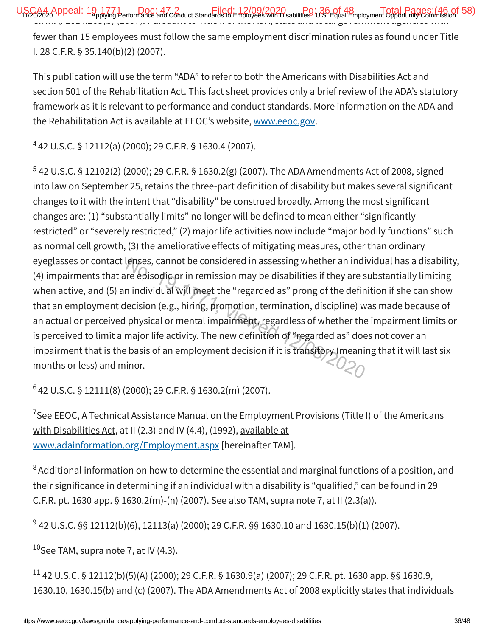11/20/2020 Applying Performance and Conduct Standards to Employees with Disabilities | U.S. Equal Employment Opportunity Commission C.F.R. § 1614.203(b) (2007). Pursuant to Title II of the ADA, state and local government agencies with fewer than 15 employees must follow the same employment discrimination rules as found under Title I. 28 C.F.R. § 35.140(b)(2) (2007). USCA4 Appeal: 19-1771 Doc: 47-2 Filed: 12/09/2020 Pg: 36 of 48 Total Pages: (46 of 58)

This publication will use the term "ADA" to refer to both the Americans with Disabilities Act and section 501 of the Rehabilitation Act. This fact sheet provides only a brief review of the ADA's statutory framework as it is relevant to performance and conduct standards. More information on the ADA and the Rehabilitation Act is available at EEOC's website, [www.eeoc.gov](http://www.eeoc.gov/).

42 U.S.C. § 12112(a) (2000); 29 C.F.R. § 1630.4 (2007). 4

 $5$  42 U.S.C. § 12102(2) (2000); 29 C.F.R. § 1630.2(g) (2007). The ADA Amendments Act of 2008, signed into law on September 25, retains the three-part definition of disability but makes several significant changes to it with the intent that "disability" be construed broadly. Among the most significant changes are: (1) "substantially limits" no longer will be defined to mean either "significantly restricted" or "severely restricted," (2) major life activities now include "major bodily functions" such as normal cell growth, (3) the ameliorative effects of mitigating measures, other than ordinary eyeglasses or contact lenses, cannot be considered in assessing whether an individual has a disability, (4) impairments that are episodic or in remission may be disabilities if they are substantially limiting when active, and (5) an individual will meet the "regarded as" prong of the definition if she can show that an employment decision  $(e.g.,$  hiring, promotion, termination, discipline) was made because of an actual or perceived physical or mental impairment, regardless of whether the impairment limits or is perceived to limit a major life activity. The new definition of "regarded as" does not cover an impairment that is the basis of an employment decision if it is transitory (meaning that it will last six months or less) and minor. denses, cannot be considered in assessing whether an individual will meet the "regarded as" prong of the definecision (e.g., hiring, promotion, termination, discipline) we physical or mental impairment, regardless of whet

 $6$  42 U.S.C. § 12111(8) (2000); 29 C.F.R. § 1630.2(m) (2007).

<sup>7</sup>See EEOC, <u>A Technical Assistance Manual on the Employment Provisions (Title I) of the Americans</u> with Disabilities Act, at II (2.3) and IV (4.4), (1992), available at [www.adainformation.org/Employment.aspx](http://www.adainformation.org/Employment.aspx) [hereinafter TAM].

 $8$  Additional information on how to determine the essential and marginal functions of a position, and their significance in determining if an individual with a disability is "qualified," can be found in 29 C.F.R. pt. 1630 app. § 1630.2(m)-(n) (2007). See also TAM, supra note 7, at II (2.3(a)).

 $^{9}$  42 U.S.C. §§ 12112(b)(6), 12113(a) (2000); 29 C.F.R. §§ 1630.10 and 1630.15(b)(1) (2007).

 $^{10}$ <u>See TAM, supra</u> note 7, at IV (4.3).

 42 U.S.C. § 12112(b)(5)(A) (2000); 29 C.F.R. § 1630.9(a) (2007); 29 C.F.R. pt. 1630 app. §§ 1630.9, 11 1630.10, 1630.15(b) and (c) (2007). The ADA Amendments Act of 2008 explicitly states that individuals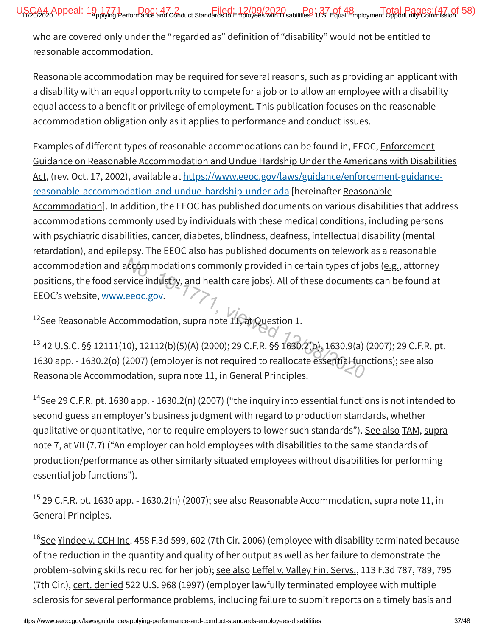who are covered only under the "regarded as" definition of "disability" would not be entitled to reasonable accommodation.

Reasonable accommodation may be required for several reasons, such as providing an applicant with a disability with an equal opportunity to compete for a job or to allow an employee with a disability equal access to a benefit or privilege of employment. This publication focuses on the reasonable accommodation obligation only as it applies to performance and conduct issues.

Examples of different types of reasonable accommodations can be found in, EEOC, Enforcement Guidance on Reasonable Accommodation and Undue Hardship Under the Americans with Disabilities [Act, \(rev. Oct. 17, 2002\), available at https://www.eeoc.gov/laws/guidance/enforcement-guidance](https://www.eeoc.gov/laws/guidance/enforcement-guidance-reasonable-accommodation-and-undue-hardship-under-ada)reasonable-accommodation-and-undue-hardship-under-ada [hereinafter Reasonable Accommodation]. In addition, the EEOC has published documents on various disabilities that address accommodations commonly used by individuals with these medical conditions, including persons with psychiatric disabilities, cancer, diabetes, blindness, deafness, intellectual disability (mental retardation), and epilepsy. The EEOC also has published documents on telework as a reasonable accommodation and accommodations commonly provided in certain types of jobs (e.g., attorney positions, the food service industry, and health care jobs). All of these documents can be found at EEOC's website, [www.eeoc.gov.](http://www.eeoc.gov/) No. 1998 of joint in the set of the set of the set of the set of the set of the set of these document the set of the set of the set of the set of the set of the set of the set of the set of the set of the set of the set of

<sup>12</sup>See Reasonable Accommodation, supra note 11, at Question 1.

13 42 U.S.C. §§ 12111(10), 12112(b)(5)(A) (2000); 29 C.F.R. §§ 1630.2(p), 1630.9(a) (2007); 29 C.F.R. pt. 1630 app. - 1630.2(o) (2007) (employer is not required to reallocate essential functions); see also Reasonable Accommodation, supra note 11, in General Principles.

 $14$ See 29 C.F.R. pt. 1630 app. - 1630.2(n) (2007) ("the inquiry into essential functions is not intended to second guess an employer's business judgment with regard to production standards, whether qualitative or quantitative, nor to require employers to lower such standards"). See also TAM, supra note 7, at VII (7.7) ("An employer can hold employees with disabilities to the same standards of production/performance as other similarly situated employees without disabilities for performing essential job functions").

<sup>15</sup> 29 C.F.R. pt. 1630 app. - 1630.2(n) (2007); <u>see also Reasonable Accommodation, supra</u> note 11, in General Principles.

<sup>16</sup>See Yindee v. CCH Inc. 458 F.3d 599, 602 (7th Cir. 2006) (employee with disability terminated because of the reduction in the quantity and quality of her output as well as her failure to demonstrate the problem-solving skills required for her job); see also Leffel v. Valley Fin. Servs., 113 F.3d 787, 789, 795 (7th Cir.), cert. denied 522 U.S. 968 (1997) (employer lawfully terminated employee with multiple sclerosis for several performance problems, including failure to submit reports on a timely basis and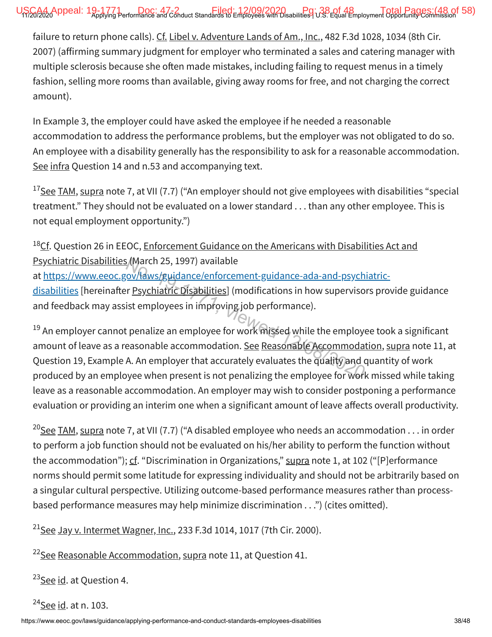failure to return phone calls). Cf. Libel v. Adventure Lands of Am., Inc., 482 F.3d 1028, 1034 (8th Cir. 2007) (affirming summary judgment for employer who terminated a sales and catering manager with multiple sclerosis because she often made mistakes, including failing to request menus in a timely fashion, selling more rooms than available, giving away rooms for free, and not charging the correct amount).

In Example 3, the employer could have asked the employee if he needed a reasonable accommodation to address the performance problems, but the employer was not obligated to do so. An employee with a disability generally has the responsibility to ask for a reasonable accommodation. See infra Question 14 and n.53 and accompanying text.

<sup>17</sup>See TAM, supra note 7, at VII (7.7) ("An employer should not give employees with disabilities "special treatment." They should not be evaluated on a lower standard . . . than any other employee. This is not equal employment opportunity.")

<sup>18</sup>Cf. Question 26 in EEOC, Enforcement Guidance on the Americans with Disabilities Act and Psychiatric Disabilities (March 25, 1997) available at https://www.eeoc.gov/laws/guidance/enforcement-guidance-ada-and-psychiatricdisabilities [hereinafter Psychiatric Disabilities] (modifications in how supervisors provide guidance and feedback may assist employees in improving job performance).

 $^{19}$  An employer cannot penalize an employee for work missed while the employee took a significant amount of leave as a reasonable accommodation. See Reasonable Accommodation, supra note 11, at Question 19, Example A. An employer that accurately evaluates the quality and quantity of work produced by an employee when present is not penalizing the employee for work missed while taking leave as a reasonable accommodation. An employer may wish to consider postponing a performance evaluation or providing an interim one when a significant amount of leave affects overall productivity. March 25, 1997) available<br>
<u>ov/laws/guidance/enforcement-guidance-ada-and-psych</u><br>
In <u>Psychiatric Disabilities</u> (modifications in how superviso<br>
ist employees in improving job performance).<br>
Depending to the employer of th

 $^{20}$ <u>See TAM, supra</u> note 7, at VII (7.7) ("A disabled employee who needs an accommodation  $\dots$  in order to perform a job function should not be evaluated on his/her ability to perform the function without the accommodation");  $cf.$  "Discrimination in Organizations," supra note 1, at 102 ("[P]erformance norms should permit some latitude for expressing individuality and should not be arbitrarily based on a singular cultural perspective. Utilizing outcome-based performance measures rather than processbased performance measures may help minimize discrimination . . .") (cites omitted).

 $^{21}$ See Jay v. Intermet Wagner, Inc., 233 F.3d 1014, 1017 (7th Cir. 2000).

<sup>22</sup>See Reasonable Accommodation, supra note 11, at Question 41.

<sup>23</sup>See id. at Question 4.

<sup>24</sup><u>See id</u>. at n. 103.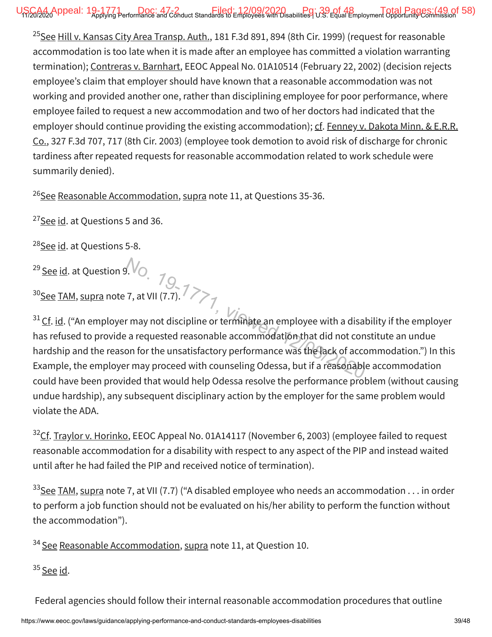# USCA4 Appeal: 19-1771 Doc: 47-2 Filed: 12/09/2020 Pg: 39 of 48 Total Pages: (49 of 58)<br>11/20/2020 Applying Performance and Conduct Standards to Employees with Disabilities U.S. Equal Employment Opportunity Commission

<sup>25</sup>See Hill v. Kansas City Area Transp. Auth., 181 F.3d 891, 894 (8th Cir. 1999) (request for reasonable accommodation is too late when it is made after an employee has committed a violation warranting termination); Contreras v. Barnhart, EEOC Appeal No. 01A10514 (February 22, 2002) (decision rejects employee's claim that employer should have known that a reasonable accommodation was not working and provided another one, rather than disciplining employee for poor performance, where employee failed to request a new accommodation and two of her doctors had indicated that the employer should continue providing the existing accommodation); cf. Fenney v. Dakota Minn. & E.R.R. Co., 327 F.3d 707, 717 (8th Cir. 2003) (employee took demotion to avoid risk of discharge for chronic tardiness after repeated requests for reasonable accommodation related to work schedule were summarily denied).

<sup>26</sup>See Reasonable Accommodation, supra note 11, at Questions 35-36.

<sup>27</sup>See id. at Questions 5 and 36.

<sup>28</sup>See id. at Questions 5-8.

<sup>29</sup> See id. at Question 9.

<sup>30</sup>See TAM, supra note 7, at VII (7.7).

 $31$  Cf. id. ("An employer may not discipline or terminate an employee with a disability if the employer has refused to provide a requested reasonable accommodation that did not constitute an undue hardship and the reason for the unsatisfactory performance was the lack of accommodation.") In this Example, the employer may proceed with counseling Odessa, but if a reasonable accommodation could have been provided that would help Odessa resolve the performance problem (without causing undue hardship), any subsequent disciplinary action by the employer for the same problem would violate the ADA.  $\frac{1}{2}$ <br>  $\frac{1}{2}$ <br>  $\frac{1}{2}$ <br>  $\frac{1}{2}$ <br>  $\frac{1}{2}$ <br>  $\frac{1}{2}$ <br>  $\frac{1}{2}$ <br>  $\frac{1}{2}$ <br>  $\frac{1}{2}$ <br>  $\frac{1}{2}$ <br>  $\frac{1}{2}$ <br>  $\frac{1}{2}$ <br>  $\frac{1}{2}$ <br>  $\frac{1}{2}$ <br>  $\frac{1}{2}$ <br>  $\frac{1}{2}$ <br>  $\frac{1}{2}$ <br>  $\frac{1}{2}$ <br>  $\frac{1}{2}$ <br>  $\frac{1}{2}$ <br>

<sup>32</sup>Cf. Traylor v. Horinko, EEOC Appeal No. 01A14117 (November 6, 2003) (employee failed to request reasonable accommodation for a disability with respect to any aspect of the PIP and instead waited until after he had failed the PIP and received notice of termination).

 $^{33}$ See TAM, supra note 7, at VII (7.7) ("A disabled employee who needs an accommodation  $\dots$  in order to perform a job function should not be evaluated on his/her ability to perform the function without the accommodation").

<sup>34</sup> See Reasonable Accommodation, supra note 11, at Question 10.

<sup>35</sup> See id.

Federal agencies should follow their internal reasonable accommodation procedures that outline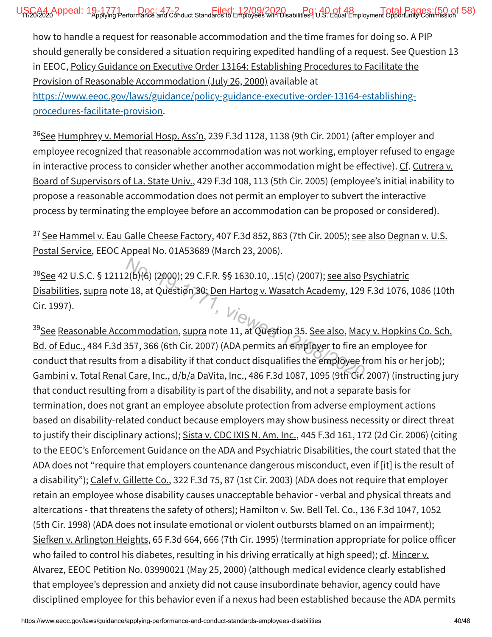# USCA4 Appeal: 19-1771 Doc: 47-2 Filed: 12/09/2020 Pg: 40 of 48 Total Pages: (50 of 58)<br>11/20/2020 Applying Performance and Conduct Standards to Employees with Disabilities U.S. Equal Employment Opportunity Commission

how to handle a request for reasonable accommodation and the time frames for doing so. A PIP should generally be considered a situation requiring expedited handling of a request. See Question 13 in EEOC, Policy Guidance on Executive Order 13164: Establishing Procedures to Facilitate the Provision of Reasonable Accommodation (July 26, 2000) available at [https://www.eeoc.gov/laws/guidance/policy-guidance-executive-order-13164-establishing](https://www.eeoc.gov/laws/guidance/policy-guidance-executive-order-13164-establishing-procedures-facilitate-provision)procedures-facilitate-provision.

<sup>36</sup>See Humphrey v. Memorial Hosp. Ass'n, 239 F.3d 1128, 1138 (9th Cir. 2001) (after employer and employee recognized that reasonable accommodation was not working, employer refused to engage in interactive process to consider whether another accommodation might be effective). Cf. Cutrera v. Board of Supervisors of La. State Univ., 429 F.3d 108, 113 (5th Cir. 2005) (employee's initial inability to propose a reasonable accommodation does not permit an employer to subvert the interactive process by terminating the employee before an accommodation can be proposed or considered).

<sup>37</sup> See Hammel v. Eau Galle Cheese Factory, 407 F.3d 852, 863 (7th Cir. 2005); <u>see also Degnan v. U.S.</u> Postal Service, EEOC Appeal No. 01A53689 (March 23, 2006).

<sup>38</sup>See 42 U.S.C. § 12112(b)(6) (2000); 29 C.F.R. §§ 1630.10, .15(c) (2007); <u>see also Psychiatric</u> Disabilities, supra note 18, at Question 30; Den Hartog v. Wasatch Academy, 129 F.3d 1076, 1086 (10th Cir. 1997).

<sup>39</sup>See Reasonable Accommodation, supra note 11, at Question 35. <u>See also, Macy v. Hopkins Co. Sch.</u> Bd. of Educ., 484 F.3d 357, 366 (6th Cir. 2007) (ADA permits an employer to fire an employee for conduct that results from a disability if that conduct disqualifies the employee from his or her job); Gambini v. Total Renal Care, Inc., d/b/a DaVita, Inc., 486 F.3d 1087, 1095 (9th Cir. 2007) (instructing jury that conduct resulting from a disability is part of the disability, and not a separate basis for termination, does not grant an employee absolute protection from adverse employment actions based on disability-related conduct because employers may show business necessity or direct threat to justify their disciplinary actions); Sista v. CDC IXIS N. Am. Inc., 445 F.3d 161, 172 (2d Cir. 2006) (citing to the EEOC's Enforcement Guidance on the ADA and Psychiatric Disabilities, the court stated that the ADA does not "require that employers countenance dangerous misconduct, even if [it] is the result of a disability"); Calef v. Gillette Co., 322 F.3d 75, 87 (1st Cir. 2003) (ADA does not require that employer retain an employee whose disability causes unacceptable behavior - verbal and physical threats and altercations - that threatens the safety of others); Hamilton v. Sw. Bell Tel. Co., 136 F.3d 1047, 1052 (5th Cir. 1998) (ADA does not insulate emotional or violent outbursts blamed on an impairment); Siefken v. Arlington Heights, 65 F.3d 664, 666 (7th Cir. 1995) (termination appropriate for police officer who failed to control his diabetes, resulting in his driving erratically at high speed); cf. Mincer v. Alvarez, EEOC Petition No. 03990021 (May 25, 2000) (although medical evidence clearly established that employee's depression and anxiety did not cause insubordinate behavior, agency could have disciplined employee for this behavior even if a nexus had been established because the ADA permits 2(b)(6) (2000); 29 C.F.R. §§ 1630.10, .15(c) (2007); <u>see also F</u><br>
18, at Question 30; Den Hartog v. Wasatch Academy, 129<br>
19. Wien Academy, 129<br>
19. Wien Hartog v. Wasatch Academy, 129<br>
19. Wien Academy, 129<br>
19. Wien Aca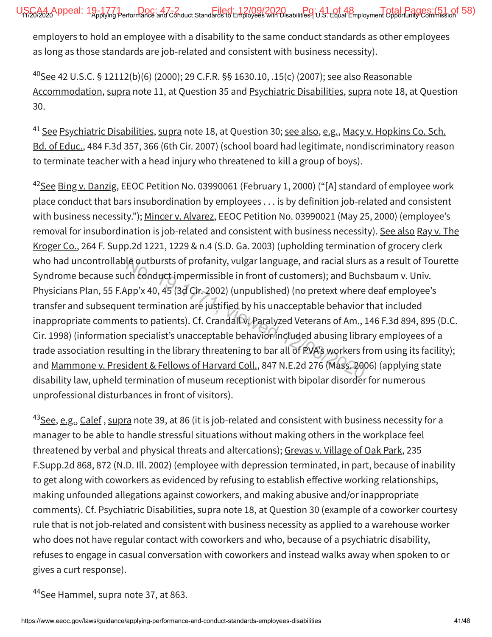# USCA4 Appeal: 19-1771 Doc: 47-2 Filed: 12/09/2020 Pg: 41 of 48 Total Pages: (51 of 58)<br>11/20/2020 Applying Performance and Conduct Standards to Employees with Disabilities U.S. Equal Employment Opportunity Commission

employers to hold an employee with a disability to the same conduct standards as other employees as long as those standards are job-related and consistent with business necessity).

<sup>40</sup>See 42 U.S.C. § 12112(b)(6) (2000); 29 C.F.R. §§ 1630.10, .15(c) (2007); <u>see also Reasonable</u> Accommodation, supra note 11, at Question 35 and Psychiatric Disabilities, supra note 18, at Question 30.

<sup>41</sup> See Psychiatric Disabilities, supra note 18, at Question 30; <u>see also, e.g., Macy v. Hopkins Co. Sch.</u> Bd. of Educ., 484 F.3d 357, 366 (6th Cir. 2007) (school board had legitimate, nondiscriminatory reason to terminate teacher with a head injury who threatened to kill a group of boys).

<sup>42</sup>See Bing v. Danzig, EEOC Petition No. 03990061 (February 1, 2000) ("[A] standard of employee work place conduct that bars insubordination by employees . . . is by definition job-related and consistent with business necessity."); Mincer v. Alvarez, EEOC Petition No. 03990021 (May 25, 2000) (employee's removal for insubordination is job-related and consistent with business necessity). See also Ray v. The Kroger Co., 264 F. Supp.2d 1221, 1229 & n.4 (S.D. Ga. 2003) (upholding termination of grocery clerk who had uncontrollable outbursts of profanity, vulgar language, and racial slurs as a result of Tourette Syndrome because such conduct impermissible in front of customers); and Buchsbaum v. Univ. Physicians Plan, 55 F.App'x 40, 45 (3d Cir. 2002) (unpublished) (no pretext where deaf employee's transfer and subsequent termination are justified by his unacceptable behavior that included inappropriate comments to patients). Cf. Crandal V. Paralyzed Veterans of Am., 146 F.3d 894, 895 (D.C. Cir. 1998) (information specialist's unacceptable behavior included abusing library employees of a trade association resulting in the library threatening to bar all of PVA's workers from using its facility); and Mammone v. President & Fellows of Harvard Coll., 847 N.E.2d 276 (Mass. 2006) (applying state disability law, upheld termination of museum receptionist with bipolar disorder for numerous unprofessional disturbances in front of visitors). le outbursts of profanity, vulgar language, and racial slurs<br>ch conduct impermissible in front of customers); and Bucl<br>pp'x 40, 45 (3d Cir. 2002) (unpublished) (no pretext where<br>mt termination are justified by his unaccept

 $^{43}$ <u>See, e.g., Calef , supra</u> note 39, at 86 (it is job-related and consistent with business necessity for a manager to be able to handle stressful situations without making others in the workplace feel threatened by verbal and physical threats and altercations); Grevas v. Village of Oak Park, 235 F.Supp.2d 868, 872 (N.D. Ill. 2002) (employee with depression terminated, in part, because of inability to get along with coworkers as evidenced by refusing to establish effective working relationships, making unfounded allegations against coworkers, and making abusive and/or inappropriate comments). Cf. Psychiatric Disabilities, supra note 18, at Question 30 (example of a coworker courtesy rule that is not job-related and consistent with business necessity as applied to a warehouse worker who does not have regular contact with coworkers and who, because of a psychiatric disability, refuses to engage in casual conversation with coworkers and instead walks away when spoken to or gives a curt response).

<sup>44</sup>See Hammel, supra note 37, at 863.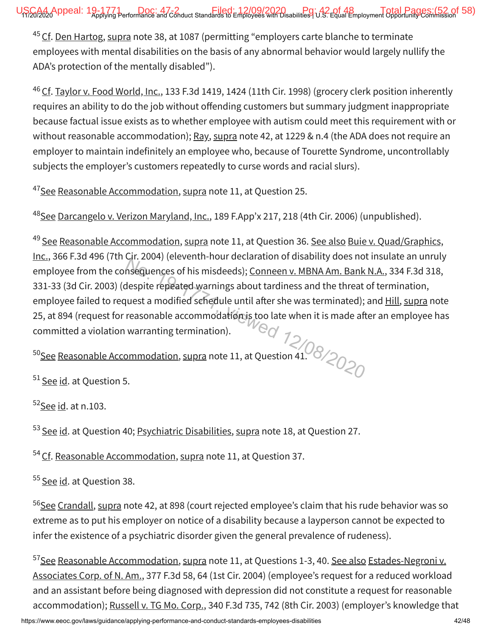# USCA4 Appeal: 19-1771 Doc: 47-2 Filed: 12/09/2020 Pg: 42 of 48 Total Pages: (52 of 58)<br>11/20/2020 Applying Performance and Conduct Standards to Employees with Disabilities U.S. Equal Employment Opportunity Commission

<sup>45</sup> Cf. Den Hartog, supra note 38, at 1087 (permitting "employers carte blanche to terminate employees with mental disabilities on the basis of any abnormal behavior would largely nullify the ADA's protection of the mentally disabled").

<sup>46</sup> Cf. Taylor v. Food World, Inc., 133 F.3d 1419, 1424 (11th Cir. 1998) (grocery clerk position inherently requires an ability to do the job without offending customers but summary judgment inappropriate because factual issue exists as to whether employee with autism could meet this requirement with or without reasonable accommodation); Ray, supra note 42, at 1229 & n.4 (the ADA does not require an employer to maintain indefinitely an employee who, because of Tourette Syndrome, uncontrollably subjects the employer's customers repeatedly to curse words and racial slurs).

<sup>47</sup>See Reasonable Accommodation, supra note 11, at Question 25.

<sup>48</sup>See Darcangelo v. Verizon Maryland, Inc., 189 F.App'x 217, 218 (4th Cir. 2006) (unpublished).

<sup>49</sup> See Reasonable Accommodation, supra note 11, at Question 36. <u>See also Buie v. Quad/Graphics,</u> Inc., 366 F.3d 496 (7th Cir. 2004) (eleventh-hour declaration of disability does not insulate an unruly employee from the consequences of his misdeeds); Conneen v. MBNA Am. Bank N.A., 334 F.3d 318, 331-33 (3d Cir. 2003) (despite repeated warnings about tardiness and the threat of termination, employee failed to request a modified schedule until after she was terminated); and Hill, supra note 25, at 894 (request for reasonable accommodation is too late when it is made after an employee has committed a violation warranting termination). Mosequences of his misdeeds); <u>Conneen v. MBNA Am. Bank</u><br>despite repeated warnings about tardiness and the threat<br>quest a modified schedule until after she was terminated);<br>reasonable accommodationis too late when it is ma

<sup>50</sup>See Reasonable Accommodation, supra note 11, at Question 41.

<sup>51</sup> See id. at Question 5.

<sup>52</sup>See id. at n.103.

<sup>53</sup> See id. at Question 40; Psychiatric Disabilities, supra note 18, at Question 27.

<sup>54</sup> Cf. Reasonable Accommodation, supra note 11, at Question 37.

<sup>55</sup> See id. at Question 38.

<sup>56</sup>See Crandall, supra note 42, at 898 (court rejected employee's claim that his rude behavior was so extreme as to put his employer on notice of a disability because a layperson cannot be expected to infer the existence of a psychiatric disorder given the general prevalence of rudeness).

<sup>57</sup>See Reasonable Accommodation, supra note 11, at Questions 1-3, 40. <u>See also Estades-Negroni v.</u> Associates Corp. of N. Am., 377 F.3d 58, 64 (1st Cir. 2004) (employee's request for a reduced workload and an assistant before being diagnosed with depression did not constitute a request for reasonable accommodation); Russell v. TG Mo. Corp., 340 F.3d 735, 742 (8th Cir. 2003) (employer's knowledge that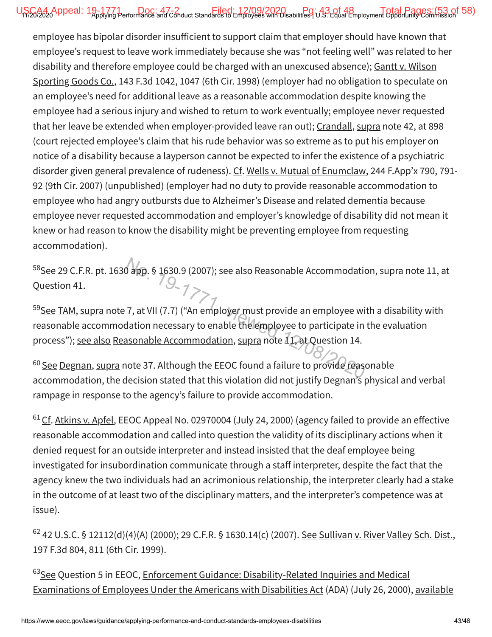# USCA4 Appeal: 19-1771 Doc: 47-2 Filed: 12/09/2020 Pg: 43 of 48 Total Pages: (53 of 58)<br>11/20/2020 Applying Performance and Conduct Standards to Employees with Disabilities U.S. Equal Employment Opportunity Commission

employee has bipolar disorder insufficient to support claim that employer should have known that employee's request to leave work immediately because she was "not feeling well" was related to her disability and therefore employee could be charged with an unexcused absence); Gantt v. Wilson Sporting Goods Co., 143 F.3d 1042, 1047 (6th Cir. 1998) (employer had no obligation to speculate on an employee's need for additional leave as a reasonable accommodation despite knowing the employee had a serious injury and wished to return to work eventually; employee never requested that her leave be extended when employer-provided leave ran out); Crandall, supra note 42, at 898 (court rejected employee's claim that his rude behavior was so extreme as to put his employer on notice of a disability because a layperson cannot be expected to infer the existence of a psychiatric disorder given general prevalence of rudeness). Cf. Wells v. Mutual of Enumclaw, 244 F.App'x 790, 791- 92 (9th Cir. 2007) (unpublished) (employer had no duty to provide reasonable accommodation to employee who had angry outbursts due to Alzheimer's Disease and related dementia because employee never requested accommodation and employer's knowledge of disability did not mean it knew or had reason to know the disability might be preventing employee from requesting accommodation).

<sup>58</sup>See 29 C.F.R. pt. 1630 app. § 1630.9 (2007); <u>see also Reasonable Accommodation, supra</u> note 11, at Question 41.

<sup>59</sup>See TAM, supra note 7, at VII (7.7) ("An employer must provide an employee with a disability with reasonable accommodation necessary to enable the employee to participate in the evaluation process"); see also Reasonable Accommodation, supra note 11, at Question 14. Napp. § 1630.9 (2007); <u>see also Reasonable Accommodation</u><br>7, at VII (7.7) ("An employer must provide an employee wild<br>ation necessary to enable the employee to participate in<br>14. assonable Accommodation, supra note 11, at

 $60$  See Degnan, supra note 37. Although the EEOC found a failure to provide reasonable accommodation, the decision stated that this violation did not justify Degnan's physical and verbal rampage in response to the agency's failure to provide accommodation.

 $^{61}$  Cf. Atkins v. Apfel, EEOC Appeal No. 02970004 (July 24, 2000) (agency failed to provide an effective reasonable accommodation and called into question the validity of its disciplinary actions when it denied request for an outside interpreter and instead insisted that the deaf employee being investigated for insubordination communicate through a staff interpreter, despite the fact that the agency knew the two individuals had an acrimonious relationship, the interpreter clearly had a stake in the outcome of at least two of the disciplinary matters, and the interpreter's competence was at issue).

<sup>62</sup> 42 U.S.C. § 12112(d)(4)(A) (2000); 29 C.F.R. § 1630.14(c) (2007). <u>See Sullivan v. River Valley Sch. Dist.,</u> 197 F.3d 804, 811 (6th Cir. 1999).

63 See Question 5 in EEOC, Enforcement Guidance: Disability-Related Inquiries and Medical Examinations of Employees Under the Americans with Disabilities Act (ADA) (July 26, 2000), available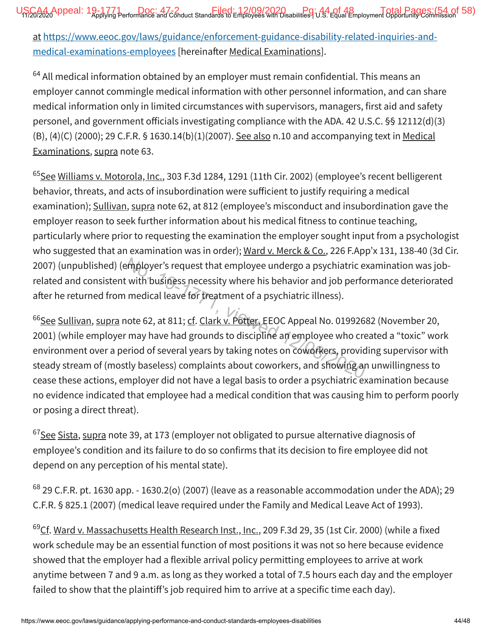USCA4 Appeal: 19-1771 Doc: 47-2 Filed: 12/09/2020 Pg: 44 of 48 Total Pages: (54 of 58)<br>11/20/2020 Applying Performance and Conduct Standards to Employees with Disabilities U.S. Equal Employment Opportunity Commission

[at https://www.eeoc.gov/laws/guidance/enforcement-guidance-disability-related-inquiries-and](https://www.eeoc.gov/laws/guidance/enforcement-guidance-disability-related-inquiries-and-medical-examinations-employees)medical-examinations-employees [hereinafter Medical Examinations].

 $64$  All medical information obtained by an employer must remain confidential. This means an employer cannot commingle medical information with other personnel information, and can share medical information only in limited circumstances with supervisors, managers, first aid and safety personel, and government officials investigating compliance with the ADA. 42 U.S.C. §§ 12112(d)(3) (B), (4)(C) (2000); 29 C.F.R. § 1630.14(b)(1)(2007). See also n.10 and accompanying text in Medical Examinations, supra note 63.

<sup>65</sup>See Williams v. Motorola, Inc., 303 F.3d 1284, 1291 (11th Cir. 2002) (employee's recent belligerent behavior, threats, and acts of insubordination were sufficient to justify requiring a medical examination); Sullivan, supra note 62, at 812 (employee's misconduct and insubordination gave the employer reason to seek further information about his medical fitness to continue teaching, particularly where prior to requesting the examination the employer sought input from a psychologist who suggested that an examination was in order); Ward v. Merck & Co., 226 F.App'x 131, 138-40 (3d Cir. 2007) (unpublished) (employer's request that employee undergo a psychiatric examination was jobrelated and consistent with business necessity where his behavior and job performance deteriorated after he returned from medical leave for treatment of a psychiatric illness).

<sup>66</sup>See Sullivan, supra note 62, at 811; cf. Clark v. Potter, EEOC Appeal No. 01992682 (November 20, 2001) (while employer may have had grounds to discipline an employee who created a "toxic" work environment over a period of several years by taking notes on coworkers, providing supervisor with steady stream of (mostly baseless) complaints about coworkers, and showing an unwillingness to cease these actions, employer did not have a legal basis to order a psychiatric examination because no evidence indicated that employee had a medical condition that was causing him to perform poorly or posing a direct threat). employer's request that employee undergo a psychiatric express with business necessity where his behavior and job performedical leave for treatment of a psychiatric illness).<br>
Note 62, at 811; <u>cf</u>. Clark v. Potter, EEOC A

 $^{67}$ See Sista, supra note 39, at 173 (employer not obligated to pursue alternative diagnosis of employee's condition and its failure to do so confirms that its decision to fire employee did not depend on any perception of his mental state).

 $68$  29 C.F.R. pt. 1630 app. - 1630.2(o) (2007) (leave as a reasonable accommodation under the ADA); 29 C.F.R. § 825.1 (2007) (medical leave required under the Family and Medical Leave Act of 1993).

<sup>69</sup>Cf. <u>Ward v. Massachusetts Health Research Inst., Inc.</u>, 209 F.3d 29, 35 (1st Cir. 2000) (while a fixed work schedule may be an essential function of most positions it was not so here because evidence showed that the employer had a flexible arrival policy permitting employees to arrive at work anytime between 7 and 9 a.m. as long as they worked a total of 7.5 hours each day and the employer failed to show that the plaintiff's job required him to arrive at a specific time each day).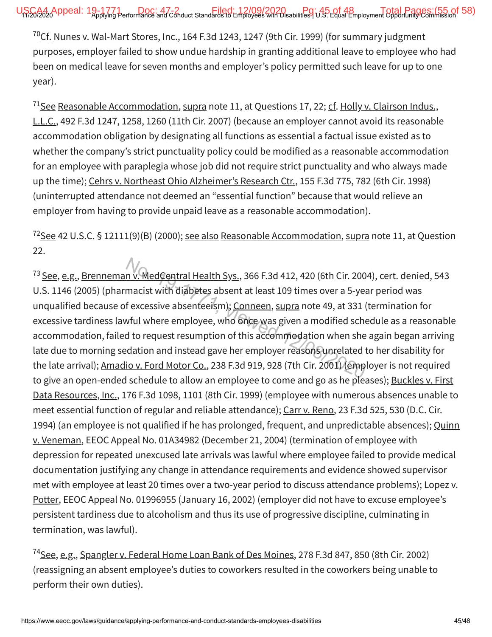<sup>70</sup>Cf. Nunes v. Wal-Mart Stores, Inc., 164 F.3d 1243, 1247 (9th Cir. 1999) (for summary judgment purposes, employer failed to show undue hardship in granting additional leave to employee who had been on medical leave for seven months and employer's policy permitted such leave for up to one year).

<sup>71</sup>See Reasonable Accommodation, supra note 11, at Questions 17, 22; <u>cf</u>. Holly v. Clairson Indus., L.L.C., 492 F.3d 1247, 1258, 1260 (11th Cir. 2007) (because an employer cannot avoid its reasonable accommodation obligation by designating all functions as essential a factual issue existed as to whether the company's strict punctuality policy could be modified as a reasonable accommodation for an employee with paraplegia whose job did not require strict punctuality and who always made up the time); Cehrs v. Northeast Ohio Alzheimer's Research Ctr., 155 F.3d 775, 782 (6th Cir. 1998) (uninterrupted attendance not deemed an "essential function" because that would relieve an employer from having to provide unpaid leave as a reasonable accommodation).

<sup>72</sup>See 42 U.S.C. § 12111(9)(B) (2000); <u>see also Reasonable Accommodation, supra</u> note 11, at Question 22.

<sup>73</sup> See, e.g., Brenneman v. MedCentral Health Sys., 366 F.3d 412, 420 (6th Cir. 2004), cert. denied, 543 U.S. 1146 (2005) (pharmacist with diabetes absent at least 109 times over a 5-year period was unqualified because of excessive absenteeism); Conneen, supra note 49, at 331 (termination for excessive tardiness lawful where employee, who once was given a modified schedule as a reasonable accommodation, failed to request resumption of this accommodation when she again began arriving late due to morning sedation and instead gave her employer reasons unrelated to her disability for the late arrival); Amadio v. Ford Motor Co., 238 F.3d 919, 928 (7th Cir. 2001) (employer is not required to give an open-ended schedule to allow an employee to come and go as he pleases); Buckles v. First Data Resources, Inc., 176 F.3d 1098, 1101 (8th Cir. 1999) (employee with numerous absences unable to meet essential function of regular and reliable attendance); Carr v. Reno, 23 F.3d 525, 530 (D.C. Cir. 1994) (an employee is not qualified if he has prolonged, frequent, and unpredictable absences); Quinn v. Veneman, EEOC Appeal No. 01A34982 (December 21, 2004) (termination of employee with depression for repeated unexcused late arrivals was lawful where employee failed to provide medical documentation justifying any change in attendance requirements and evidence showed supervisor met with employee at least 20 times over a two-year period to discuss attendance problems); Lopez v. Potter, EEOC Appeal No. 01996955 (January 16, 2002) (employer did not have to excuse employee's persistent tardiness due to alcoholism and thus its use of progressive discipline, culminating in termination, was lawful). No. MedCentral Health Sys., 366 F.3d 412, 420 (6th Cir. 200<br>macist with diabetes absent at least 109 times over a 5-yer<br>f excessive absenteeism); Conneen, supra note 49, at 331<br>wful where employee, who once was given a mod

<sup>74</sup>See, <u>e.g., Spangler v. Federal Home Loan Bank of Des Moines,</u> 278 F.3d 847, 850 (8th Cir. 2002) (reassigning an absent employee's duties to coworkers resulted in the coworkers being unable to perform their own duties).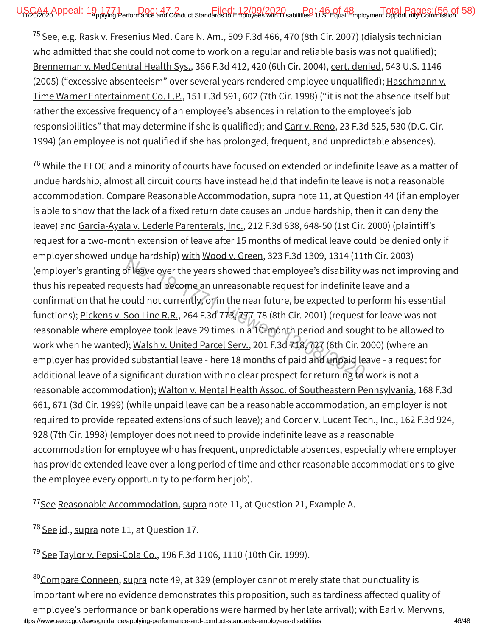# USCA4 Appeal: 19-1771 Doc: 47-2 Filed: 12/09/2020 Pg: 46 of 48 Total Pages: (56 of 58)<br>11/20/2020 Applying Performance and Conduct Standards to Employees with Disabilities U.S. Equal Employment Opportunity Commission

<sup>75</sup> See, e.g. Rask v. Fresenius Med. Care N. Am., 509 F.3d 466, 470 (8th Cir. 2007) (dialysis technician who admitted that she could not come to work on a regular and reliable basis was not qualified); Brenneman v. MedCentral Health Sys., 366 F.3d 412, 420 (6th Cir. 2004), cert. denied, 543 U.S. 1146 (2005) ("excessive absenteeism" over several years rendered employee unqualified); Haschmann v. Time Warner Entertainment Co. L.P., 151 F.3d 591, 602 (7th Cir. 1998) ("it is not the absence itself but rather the excessive frequency of an employee's absences in relation to the employee's job responsibilities" that may determine if she is qualified); and Carr v. Reno, 23 F.3d 525, 530 (D.C. Cir. 1994) (an employee is not qualified if she has prolonged, frequent, and unpredictable absences).

 $76$  While the EEOC and a minority of courts have focused on extended or indefinite leave as a matter of undue hardship, almost all circuit courts have instead held that indefinite leave is not a reasonable accommodation. Compare Reasonable Accommodation, supra note 11, at Question 44 (if an employer is able to show that the lack of a fixed return date causes an undue hardship, then it can deny the leave) and Garcia-Ayala v. Lederle Parenterals, Inc., 212 F.3d 638, 648-50 (1st Cir. 2000) (plaintiff's request for a two-month extension of leave after 15 months of medical leave could be denied only if employer showed undue hardship) with Wood v. Green, 323 F.3d 1309, 1314 (11th Cir. 2003) (employer's granting of leave over the years showed that employee's disability was not improving and thus his repeated requests had become an unreasonable request for indefinite leave and a confirmation that he could not currently, or in the near future, be expected to perform his essential functions); Pickens v. Soo Line R.R., 264 F.3d 773, 777-78 (8th Cir. 2001) (request for leave was not reasonable where employee took leave 29 times in a 10-month period and sought to be allowed to work when he wanted); Walsh v. United Parcel Serv., 201 F.3d 718, 727 (6th Cir. 2000) (where an employer has provided substantial leave - here 18 months of paid and unpaid leave - a request for additional leave of a significant duration with no clear prospect for returning to work is not a reasonable accommodation); Walton v. Mental Health Assoc. of Southeastern Pennsylvania, 168 F.3d 661, 671 (3d Cir. 1999) (while unpaid leave can be a reasonable accommodation, an employer is not required to provide repeated extensions of such leave); and Corder v. Lucent Tech., Inc., 162 F.3d 924, 928 (7th Cir. 1998) (employer does not need to provide indefinite leave as a reasonable accommodation for employee who has frequent, unpredictable absences, especially where employer has provide extended leave over a long period of time and other reasonable accommodations to give the employee every opportunity to perform her job). Meave over the years showed that employee's disability v<br>In leave over the years showed that employee's disability v<br>lests had become an unreasonable request for indefinite lo<br>ould not currently, or in the near future, be

<sup>77</sup>See Reasonable Accommodation, supra note 11, at Question 21, Example A.

<sup>78</sup> See id., supra note 11, at Question 17.

<sup>79</sup> See Taylor v. Pepsi-Cola Co., 196 F.3d 1106, 1110 (10th Cir. 1999).

https://www.eeoc.gov/laws/guidance/applying-performance-and-conduct-standards-employees-disabilities 46/48  $^{80}$ Compare Conneen, supra note 49, at 329 (employer cannot merely state that punctuality is important where no evidence demonstrates this proposition, such as tardiness affected quality of employee's performance or bank operations were harmed by her late arrival); with Earl v. Mervyns,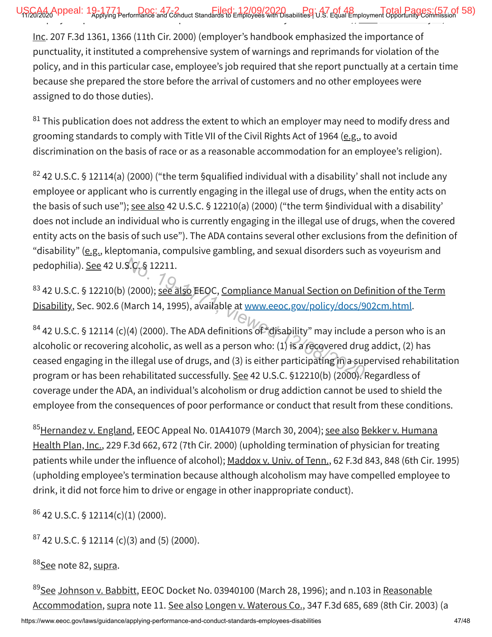# USCA4 Appeal: 19-1771 Doc: 47-2 Filed: 12/09/2020 Pg: 47 of 48 Total Pages: (57 of 58)<br>11/20/2020 Applying Performance and Conduct Standards to Employees with Disabilities U.S. Equal Employment Opportunity Commission

Inc. 207 F.3d 1361, 1366 (11th Cir. 2000) (employer's handbook emphasized the importance of punctuality, it instituted a comprehensive system of warnings and reprimands for violation of the policy, and in this particular case, employee's job required that she report punctually at a certain time because she prepared the store before the arrival of customers and no other employees were assigned to do those duties).

 $81$  This publication does not address the extent to which an employer may need to modify dress and grooming standards to comply with Title VII of the Civil Rights Act of 1964 (e.g., to avoid discrimination on the basis of race or as a reasonable accommodation for an employee's religion).

 $82$  42 U.S.C. § 12114(a) (2000) ("the term §qualified individual with a disability' shall not include any employee or applicant who is currently engaging in the illegal use of drugs, when the entity acts on the basis of such use"); see also 42 U.S.C. § 12210(a) (2000) ("the term §individual with a disability' does not include an individual who is currently engaging in the illegal use of drugs, when the covered entity acts on the basis of such use"). The ADA contains several other exclusions from the definition of "disability" (e.g., kleptomania, compulsive gambling, and sexual disorders such as voyeurism and pedophilia). See 42 U.S.C. § 12211.

83 42 U.S.C. § 12210(b) (2000); see also EEOC, Compliance Manual Section on Definition of the Term Disability, Sec. 902.6 (March 14, 1995), available at [www.eeoc.gov/policy/docs/902cm.html.](http://www.eeoc.gov/policy/docs/902cm.html)

 $84$  42 U.S.C. § 12114 (c)(4) (2000). The ADA definitions of "disability" may include a person who is an alcoholic or recovering alcoholic, as well as a person who: (1) is a recovered drug addict, (2) has ceased engaging in the illegal use of drugs, and (3) is either participating in a supervised rehabilitation program or has been rehabilitated successfully. See 42 U.S.C. §12210(b) (2000). Regardless of coverage under the ADA, an individual's alcoholism or drug addiction cannot be used to shield the employee from the consequences of poor performance or conduct that result from these conditions. **S.C. § 12211.**<br>(2000); <u>see also</u> EEOC, <u>Compliance Manual Section on Det</u><br>March 14, 1995), available at <u>www.eeoc.gov/policy/docs/9</u><br>(4) (2000). The ADA definitions of "disability" may include<br>g alcoholic, as well as a

<sup>85</sup>Hernandez v. Eng<u>land,</u> EEOC Appeal No. 01A41079 (March 30, 2004); <u>see also Bekker v. Humana</u> Health Plan, Inc., 229 F.3d 662, 672 (7th Cir. 2000) (upholding termination of physician for treating patients while under the influence of alcohol); Maddox v. Univ. of Tenn., 62 F.3d 843, 848 (6th Cir. 1995) (upholding employee's termination because although alcoholism may have compelled employee to drink, it did not force him to drive or engage in other inappropriate conduct).

 $86$  42 U.S.C. § 12114(c)(1) (2000).

 $87$  42 U.S.C. § 12114 (c)(3) and (5) (2000).

# <sup>88</sup>See note 82, <u>supra</u>.

<sup>89</sup>See Johnson v. Babbitt, EEOC Docket No. 03940100 (March 28, 1996); and n.103 in <u>Reasonable</u> Accommodation, supra note 11. See also Longen v. Waterous Co., 347 F.3d 685, 689 (8th Cir. 2003) (a